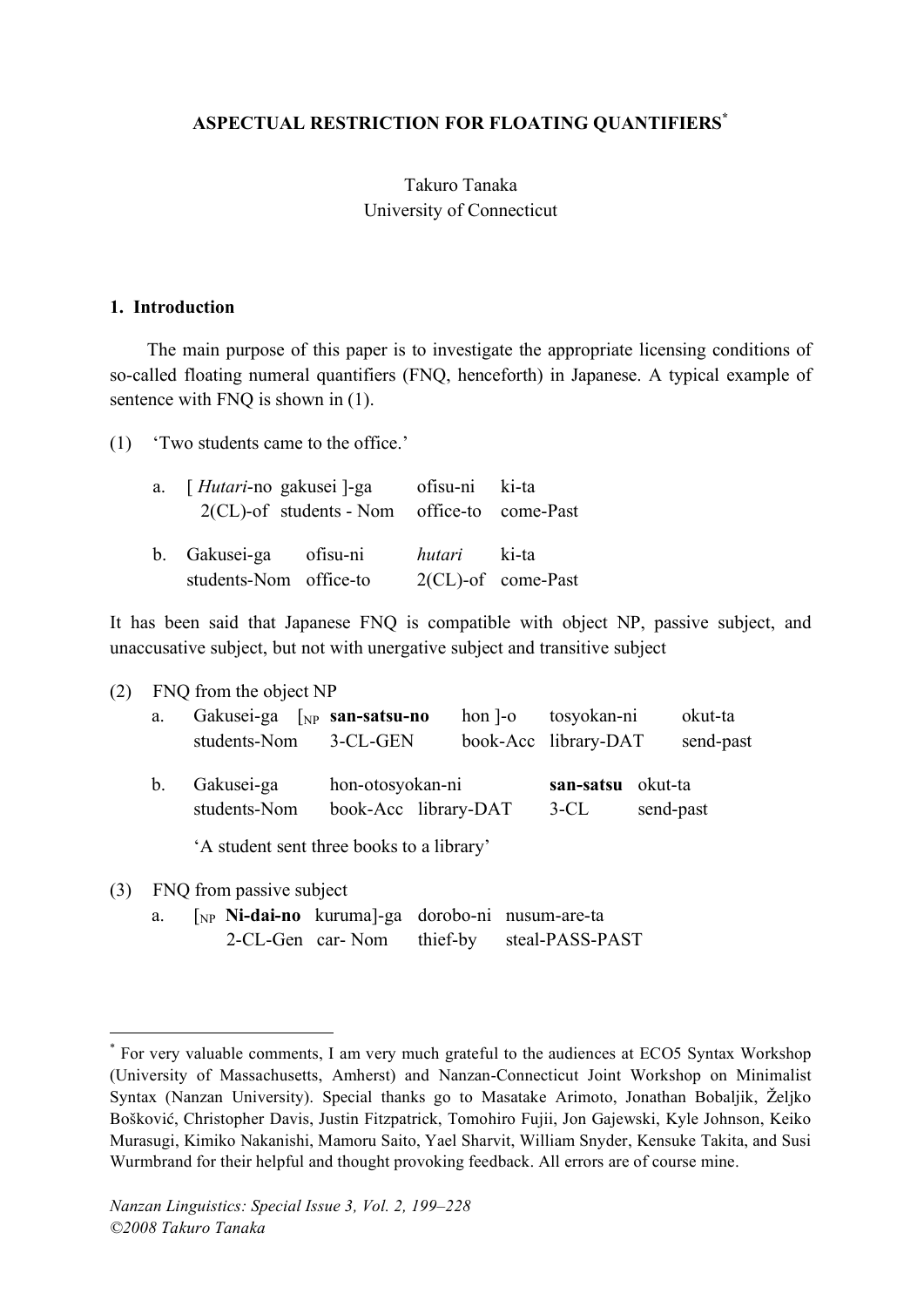## **ASPECTUAL RESTRICTION FOR FLOATING QUANTIFIERS\***

## Takuro Tanaka University of Connecticut

#### **1. Introduction**

The main purpose of this paper is to investigate the appropriate licensing conditions of so-called floating numeral quantifiers (FNQ, henceforth) in Japanese. A typical example of sentence with FNQ is shown in (1).

(1) 'Two students came to the office.'

| a. [ <i>Hutari</i> -no gakusei ]-ga ofisu-ni ki-ta |                                             |                     |                       |
|----------------------------------------------------|---------------------------------------------|---------------------|-----------------------|
|                                                    | 2(CL)-of students - Nom office-to come-Past |                     |                       |
| b. Gakusei-ga ofisu-ni                             |                                             | <i>hutari</i> ki-ta |                       |
| students-Nom office-to                             |                                             |                     | $2(CL)$ -of come-Past |

It has been said that Japanese FNQ is compatible with object NP, passive subject, and unaccusative subject, but not with unergative subject and transitive subject

(2) FNQ from the object NP

| a.          | Gakusei-ga $\lceil_{NP}$ san-satsu-no<br>students-Nom | 3-CL-GEN                                 | $hon$ ]- $o$ | tosyokan-ni<br>book-Acc library-DAT | okut-ta<br>send-past |
|-------------|-------------------------------------------------------|------------------------------------------|--------------|-------------------------------------|----------------------|
| $b_{\cdot}$ | Gakusei-ga<br>students-Nom                            | hon-otosyokan-ni<br>book-Acc library-DAT |              | san-satsu okut-ta<br>$3-CL$         | send-past            |

'A student sent three books to a library'

(3) FNQ from passive subject

a. [NP **Ni-dai-no** kuruma]-ga dorobo-ni nusum-are-ta 2-CL-Gen car- Nom thief-by steal-PASS-PAST

 <sup>\*</sup> For very valuable comments, <sup>I</sup> am very much grateful to the audiences at ECO5 Syntax Workshop (University of Massachusetts, Amherst) and Nanzan-Connecticut Joint Workshop on Minimalist Syntax (Nanzan University). Special thanks go to Masatake Arimoto, Jonathan Bobaljik, Željko Bošković, Christopher Davis, Justin Fitzpatrick, Tomohiro Fujii, Jon Gajewski, Kyle Johnson, Keiko Murasugi, Kimiko Nakanishi, Mamoru Saito, Yael Sharvit, William Snyder, Kensuke Takita, and Susi Wurmbrand for their helpful and thought provoking feedback. All errors are of course mine.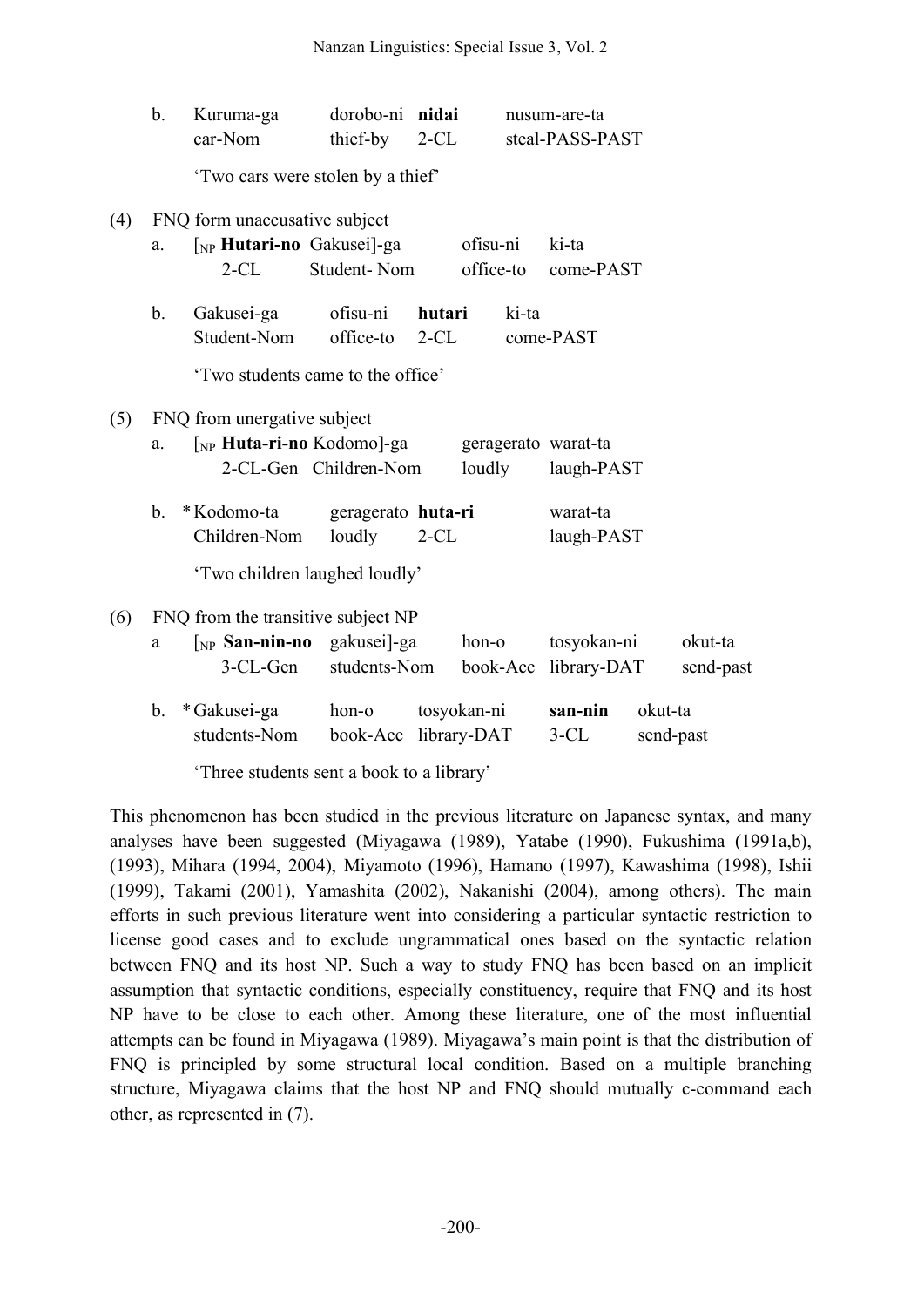|     | b. | Kuruma-ga<br>car-Nom                                                                                 | dorobo-ni nidai<br>thief-by   | $2-CL$           |                       | nusum-are-ta<br>steal-PASS-PAST   |         |                      |
|-----|----|------------------------------------------------------------------------------------------------------|-------------------------------|------------------|-----------------------|-----------------------------------|---------|----------------------|
|     |    | 'Two cars were stolen by a thief'                                                                    |                               |                  |                       |                                   |         |                      |
| (4) | a. | FNQ form unaccusative subject<br>[NP <b>Hutari-no</b> Gakusei]-ga<br>$2$ -CL                         | Student-Nom                   |                  | ofisu-ni<br>office-to | ki-ta<br>come-PAST                |         |                      |
|     | b. | Gakusei-ga<br>Student-Nom<br>'Two students came to the office'                                       | ofisu-ni<br>office-to         | hutari<br>$2-CL$ | ki-ta                 | come-PAST                         |         |                      |
| (5) | a. | FNQ from unergative subject<br>[ <sub>NP</sub> <b>Huta-ri-no</b> Kodomo]-ga<br>2-CL-Gen Children-Nom |                               |                  | loudly                | geragerato warat-ta<br>laugh-PAST |         |                      |
|     | b. | *Kodomo-ta<br>Children-Nom<br>'Two children laughed loudly'                                          | geragerato huta-ri<br>loudly  | $2-CL$           |                       | warat-ta<br>laugh-PAST            |         |                      |
| (6) | a  | FNQ from the transitive subject NP<br>$\lceil_{NP}$ San-nin-no gakusei]-ga<br>3-CL-Gen               | students-Nom                  |                  | hon-o<br>book-Acc     | tosyokan-ni<br>library-DAT        |         | okut-ta<br>send-past |
|     | b. | * Gakusei-ga<br>students-Nom                                                                         | hon-o<br>book-Acc library-DAT |                  | tosyokan-ni           | san-nin<br>$3-CL$                 | okut-ta | send-past            |

'Three students sent a book to a library'

This phenomenon has been studied in the previous literature on Japanese syntax, and many analyses have been suggested (Miyagawa (1989), Yatabe (1990), Fukushima (1991a,b), (1993), Mihara (1994, 2004), Miyamoto (1996), Hamano (1997), Kawashima (1998), Ishii (1999), Takami (2001), Yamashita (2002), Nakanishi (2004), among others). The main efforts in such previous literature went into considering a particular syntactic restriction to license good cases and to exclude ungrammatical ones based on the syntactic relation between FNQ and its host NP. Such a way to study FNQ has been based on an implicit assumption that syntactic conditions, especially constituency, require that FNQ and its host NP have to be close to each other. Among these literature, one of the most influential attempts can be found in Miyagawa (1989). Miyagawa's main point is that the distribution of FNQ is principled by some structural local condition. Based on a multiple branching structure, Miyagawa claims that the host NP and FNQ should mutually c-command each other, as represented in (7).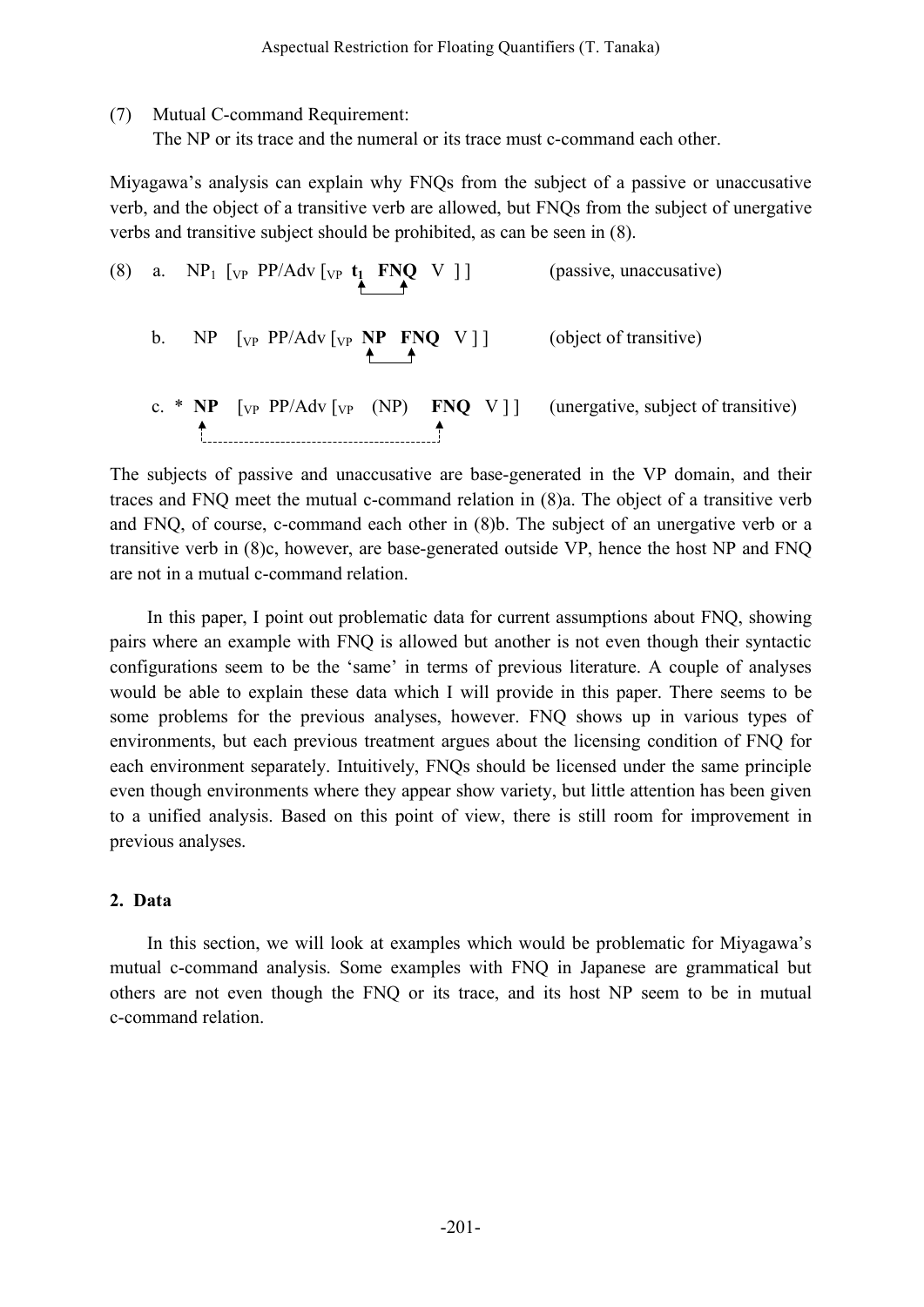(7) Mutual C-command Requirement:

The NP or its trace and the numeral or its trace must c-command each other.

Miyagawa's analysis can explain why FNQs from the subject of a passive or unaccusative verb, and the object of a transitive verb are allowed, but FNQs from the subject of unergative verbs and transitive subject should be prohibited, as can be seen in (8).

(8) a.  $NP_1$  [<sub>VP</sub> PP/Adv [<sub>VP</sub> **t<sub>1</sub> FNQ** V ] ] (passive, unaccusative) b. NP [<sub>VP</sub> PP/Adv [<sub>VP</sub> **NP FNQ** V]] (object of transitive) c. \* **NP**  $[\text{vp PP/Adv}[\text{vp (NP) FNQ V}]]$  (unergative, subject of transitive)

The subjects of passive and unaccusative are base-generated in the VP domain, and their traces and FNQ meet the mutual c-command relation in (8)a. The object of a transitive verb and FNQ, of course, c-command each other in (8)b. The subject of an unergative verb or a transitive verb in (8)c, however, are base-generated outside VP, hence the host NP and FNQ are not in a mutual c-command relation.

In this paper, I point out problematic data for current assumptions about FNQ, showing pairs where an example with FNQ is allowed but another is not even though their syntactic configurations seem to be the 'same' in terms of previous literature. A couple of analyses would be able to explain these data which I will provide in this paper. There seems to be some problems for the previous analyses, however. FNQ shows up in various types of environments, but each previous treatment argues about the licensing condition of FNQ for each environment separately. Intuitively, FNQs should be licensed under the same principle even though environments where they appear show variety, but little attention has been given to a unified analysis. Based on this point of view, there is still room for improvement in previous analyses.

### **2. Data**

In this section, we will look at examples which would be problematic for Miyagawa's mutual c-command analysis. Some examples with FNQ in Japanese are grammatical but others are not even though the FNQ or its trace, and its host NP seem to be in mutual c-command relation.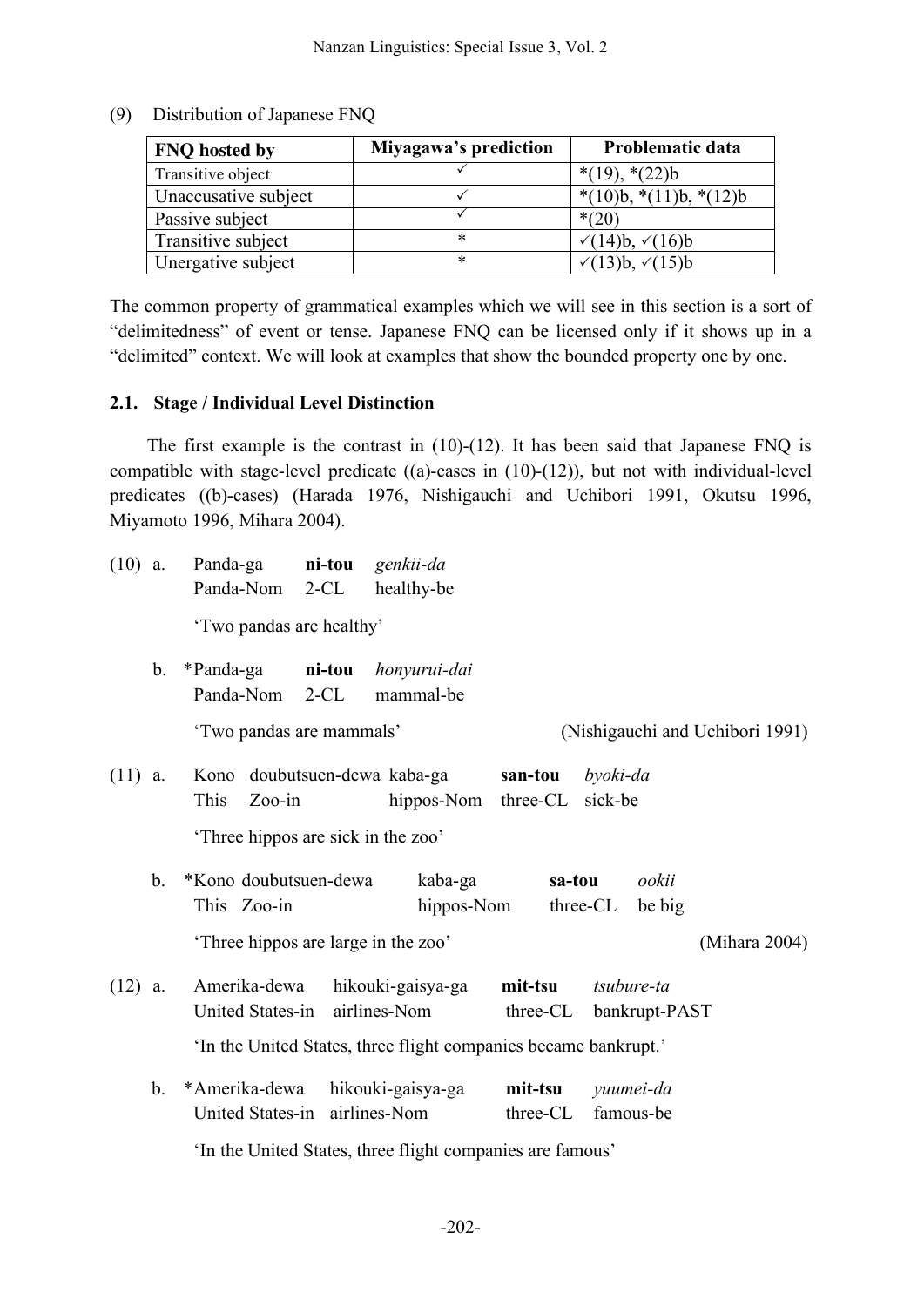| <b>FNQ</b> hosted by | Miyagawa's prediction | Problematic data                 |
|----------------------|-----------------------|----------------------------------|
| Transitive object    |                       | $*(19), * (22)b$                 |
| Unaccusative subject |                       | $*(10)b, * (11)b, * (12)b$       |
| Passive subject      |                       | $*(20)$                          |
| Transitive subject   | *                     | $\sqrt{(14)}$ b, $\sqrt{(16)}$ b |
| Unergative subject   | *                     | √ $(13)b,$ √ $(15)b$             |

(9) Distribution of Japanese FNQ

The common property of grammatical examples which we will see in this section is a sort of "delimitedness" of event or tense. Japanese FNQ can be licensed only if it shows up in a "delimited" context. We will look at examples that show the bounded property one by one.

### **2.1. Stage / Individual Level Distinction**

The first example is the contrast in  $(10)-(12)$ . It has been said that Japanese FNQ is compatible with stage-level predicate  $((a)$ -cases in  $(10)-(12)$ ), but not with individual-level predicates ((b)-cases) (Harada 1976, Nishigauchi and Uchibori 1991, Okutsu 1996, Miyamoto 1996, Mihara 2004).

| $(10)$ a. |             | Panda-ga<br>Panda-Nom               | ni-tou<br>$2-CL$ | genkii-da<br>healthy-be                                         |          |                                 |
|-----------|-------------|-------------------------------------|------------------|-----------------------------------------------------------------|----------|---------------------------------|
|           |             |                                     |                  |                                                                 |          |                                 |
|           |             | 'Two pandas are healthy'            |                  |                                                                 |          |                                 |
|           | b.          | *Panda-ga                           | ni-tou           | honyurui-dai                                                    |          |                                 |
|           |             | Panda-Nom                           | $2-CL$           | mammal-be                                                       |          |                                 |
|           |             | 'Two pandas are mammals'            |                  |                                                                 |          | (Nishigauchi and Uchibori 1991) |
| $(11)$ a. |             | Kono doubutsuen-dewa kaba-ga        |                  |                                                                 | san-tou  | byoki-da                        |
|           |             | This<br>$Zoo-in$                    |                  | hippos-Nom three-CL                                             |          | sick-be                         |
|           |             | Three hippos are sick in the zoo'   |                  |                                                                 |          |                                 |
|           |             |                                     |                  |                                                                 |          |                                 |
|           | $b_{\cdot}$ | *Kono doubutsuen-dewa               |                  | kaba-ga                                                         | sa-tou   | ookii                           |
|           |             | This Zoo-in                         |                  | hippos-Nom                                                      |          | three-CL<br>be big              |
|           |             | 'Three hippos are large in the zoo' |                  |                                                                 |          | (Mihara 2004)                   |
| $(12)$ a. |             | Amerika-dewa                        |                  | hikouki-gaisya-ga                                               | mit-tsu  | tsubure-ta                      |
|           |             | United States-in                    |                  | airlines-Nom                                                    | three-CL | bankrupt-PAST                   |
|           |             |                                     |                  | 'In the United States, three flight companies became bankrupt.' |          |                                 |
|           | $b_{\cdot}$ | *Amerika-dewa                       |                  | hikouki-gaisya-ga                                               | mit-tsu  | yuumei-da                       |
|           |             | United States-in airlines-Nom       |                  |                                                                 | three-CL | famous-be                       |
|           |             |                                     |                  |                                                                 |          |                                 |
|           |             |                                     |                  | 'In the United States, three flight companies are famous'       |          |                                 |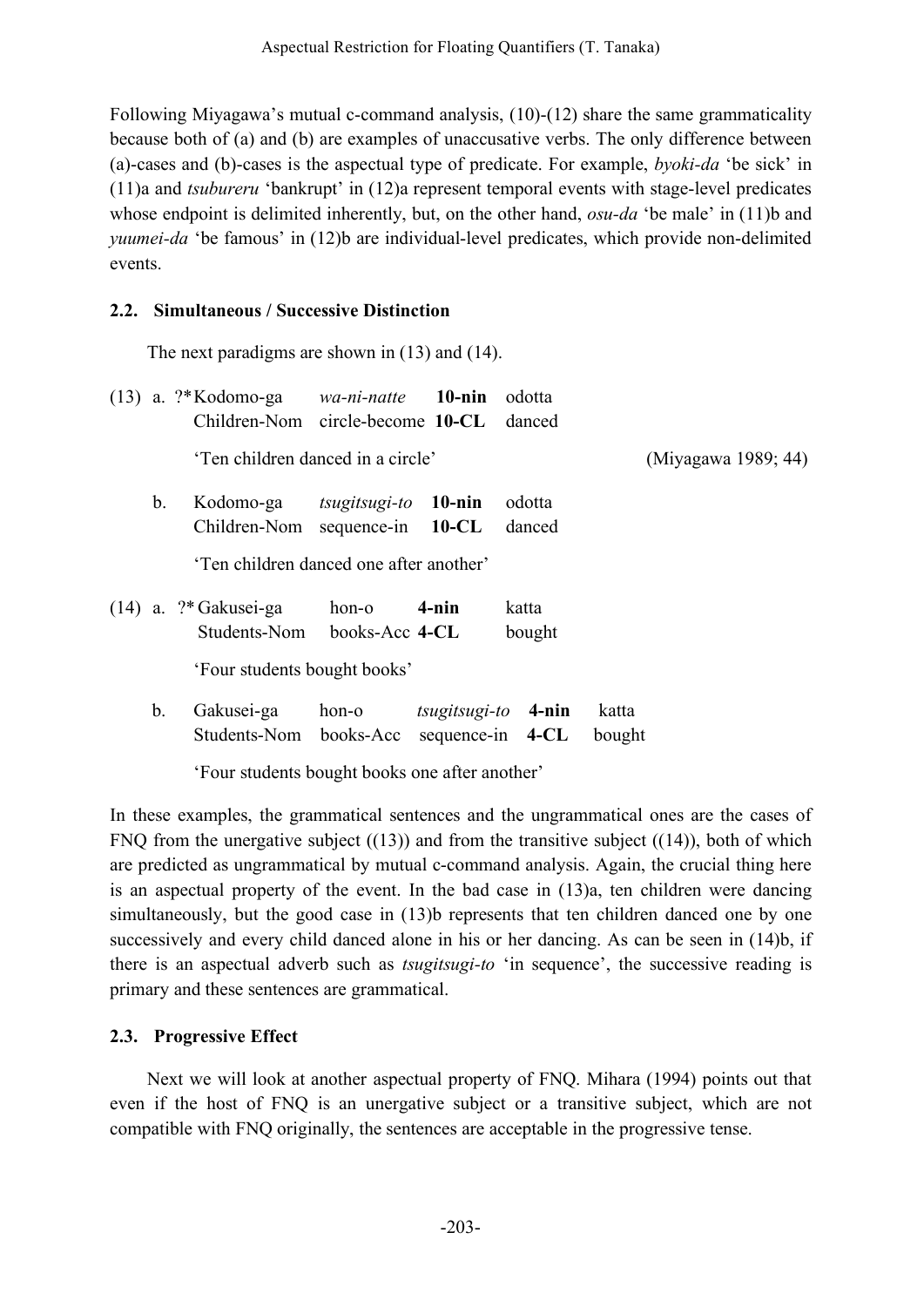Following Miyagawa's mutual c-command analysis, (10)-(12) share the same grammaticality because both of (a) and (b) are examples of unaccusative verbs. The only difference between (a)-cases and (b)-cases is the aspectual type of predicate. For example, *byoki-da* 'be sick' in (11)a and *tsubureru* 'bankrupt' in (12)a represent temporal events with stage-level predicates whose endpoint is delimited inherently, but, on the other hand, *osu-da* 'be male' in (11)b and *yuumei-da* 'be famous' in (12)b are individual-level predicates, which provide non-delimited events.

## **2.2. Simultaneous / Successive Distinction**

The next paradigms are shown in (13) and (14).

|               | $(13)$ a. ?*Kodomo-ga <i>wa-ni-natte</i> <b>10-nin</b><br>Children-Nom circle-become 10-CL |                                                |                       | odotta<br>danced |                     |
|---------------|--------------------------------------------------------------------------------------------|------------------------------------------------|-----------------------|------------------|---------------------|
|               | 'Ten children danced in a circle'                                                          |                                                |                       |                  | (Miyagawa 1989; 44) |
| $\mathbf b$ . | Kodomo-ga<br>Children-Nom                                                                  | $tsugitsugi-to$ 10-nin<br>sequence-in $10$ -CL |                       | odotta<br>danced |                     |
|               | 'Ten children danced one after another'                                                    |                                                |                       |                  |                     |
|               | $(14)$ a. ?* Gakusei-ga<br>Students-Nom books-Acc 4-CL                                     | hon-o                                          | $4$ -nin              | katta<br>bought  |                     |
|               | 'Four students bought books'                                                               |                                                |                       |                  |                     |
| b.            | Gakusei-ga<br>Students-Nom books-Acc sequence-in 4-CL                                      | hon-o                                          | $tsugitsugi-to$ 4-nin |                  | katta<br>bought     |

'Four students bought books one after another'

In these examples, the grammatical sentences and the ungrammatical ones are the cases of FNQ from the unergative subject  $((13))$  and from the transitive subject  $((14))$ , both of which are predicted as ungrammatical by mutual c-command analysis. Again, the crucial thing here is an aspectual property of the event. In the bad case in (13)a, ten children were dancing simultaneously, but the good case in (13)b represents that ten children danced one by one successively and every child danced alone in his or her dancing. As can be seen in (14)b, if there is an aspectual adverb such as *tsugitsugi-to* 'in sequence', the successive reading is primary and these sentences are grammatical.

## **2.3. Progressive Effect**

Next we will look at another aspectual property of FNQ. Mihara (1994) points out that even if the host of FNQ is an unergative subject or a transitive subject, which are not compatible with FNQ originally, the sentences are acceptable in the progressive tense.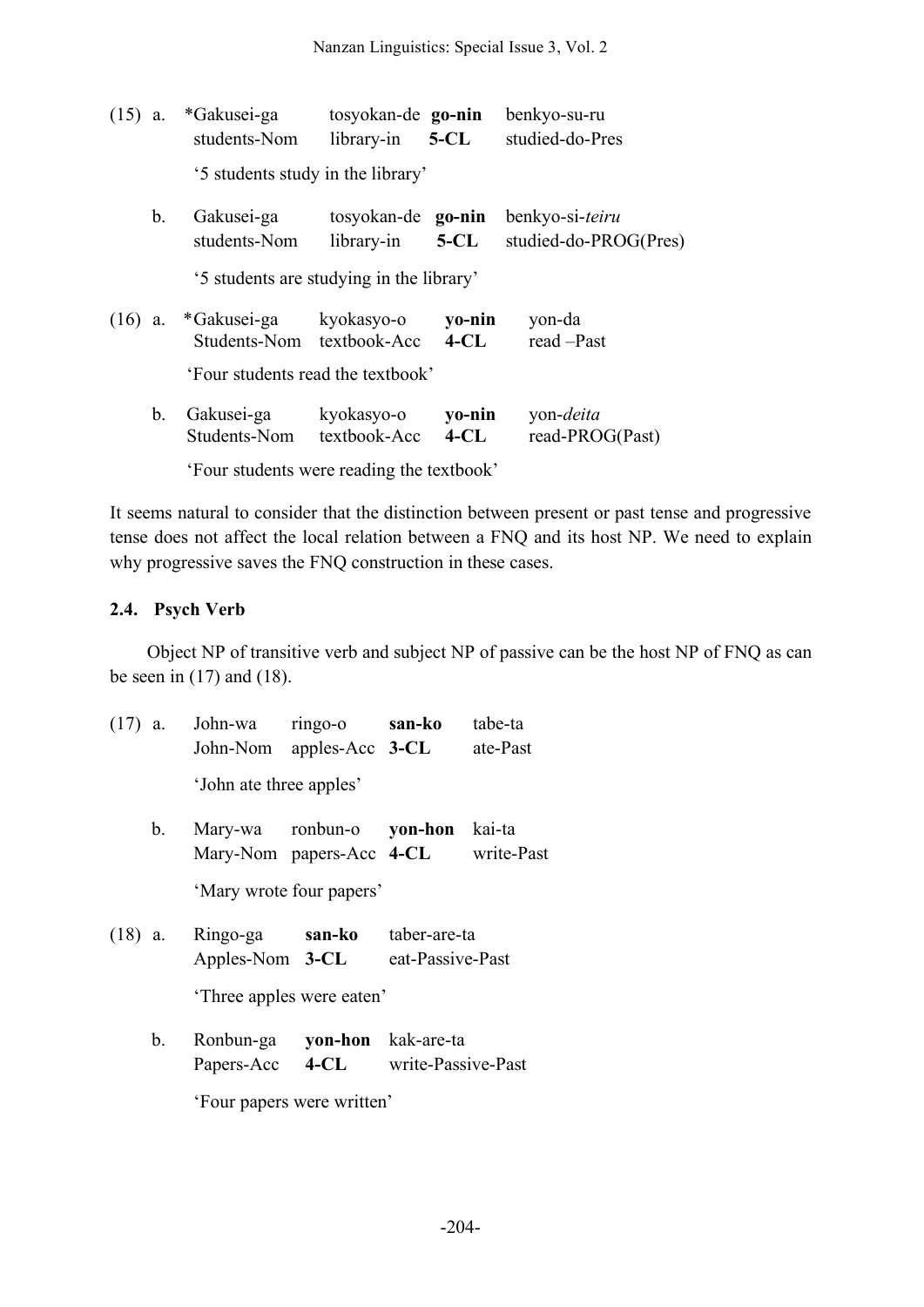| $(15)$ a. |                                   | *Gakusei-ga<br>students-Nom                        | tosyokan-de go-nin<br>library-in | $5 - CL$           | benkyo-su-ru<br>studied-do-Pres          |
|-----------|-----------------------------------|----------------------------------------------------|----------------------------------|--------------------|------------------------------------------|
|           |                                   | '5 students study in the library'                  |                                  |                    |                                          |
|           | b.                                | Gakusei-ga<br>students-Nom                         | tosyokan-de go-nin<br>library-in | <b>5-CL</b>        | benkyo-si-teiru<br>studied-do-PROG(Pres) |
|           |                                   | '5 students are studying in the library'           |                                  |                    |                                          |
|           |                                   | $(16)$ a. *Gakusei-ga<br>Students-Nom textbook-Acc | kyokasyo-o                       | yo-nin<br>$-4$ -CL | yon-da<br>read -Past                     |
|           | 'Four students read the textbook' |                                                    |                                  |                    |                                          |
|           | $\mathbf{b}$ .                    | Gakusei-ga<br>Students-Nom                         | kyokasyo-o<br>textbook-Acc       | yo-nin<br>$4$ -CL  | yon- <i>deita</i><br>read-PROG(Past)     |

'Four students were reading the textbook'

It seems natural to consider that the distinction between present or past tense and progressive tense does not affect the local relation between a FNQ and its host NP. We need to explain why progressive saves the FNQ construction in these cases.

### **2.4. Psych Verb**

Object NP of transitive verb and subject NP of passive can be the host NP of FNQ as can be seen in  $(17)$  and  $(18)$ .

|                           |         | (17) a. John-wa ringo-o san-ko tabe-ta      | John-Nom apples-Acc 3-CL ate-Past                                      |  |  |
|---------------------------|---------|---------------------------------------------|------------------------------------------------------------------------|--|--|
|                           |         | 'John ate three apples'                     |                                                                        |  |  |
|                           | $b_{-}$ |                                             | Mary-wa ronbun-o yon-hon kai-ta<br>Mary-Nom papers-Acc 4-CL write-Past |  |  |
|                           |         |                                             | 'Mary wrote four papers'                                               |  |  |
|                           |         | (18) a. Ringo-ga <b>san-ko</b> taber-are-ta | Apples-Nom 3-CL eat-Passive-Past                                       |  |  |
| 'Three apples were eaten' |         |                                             |                                                                        |  |  |
|                           |         | b. Ronbun-ga yon-hon kak-are-ta             | Papers-Acc 4-CL write-Passive-Past                                     |  |  |
|                           |         |                                             |                                                                        |  |  |

'Four papers were written'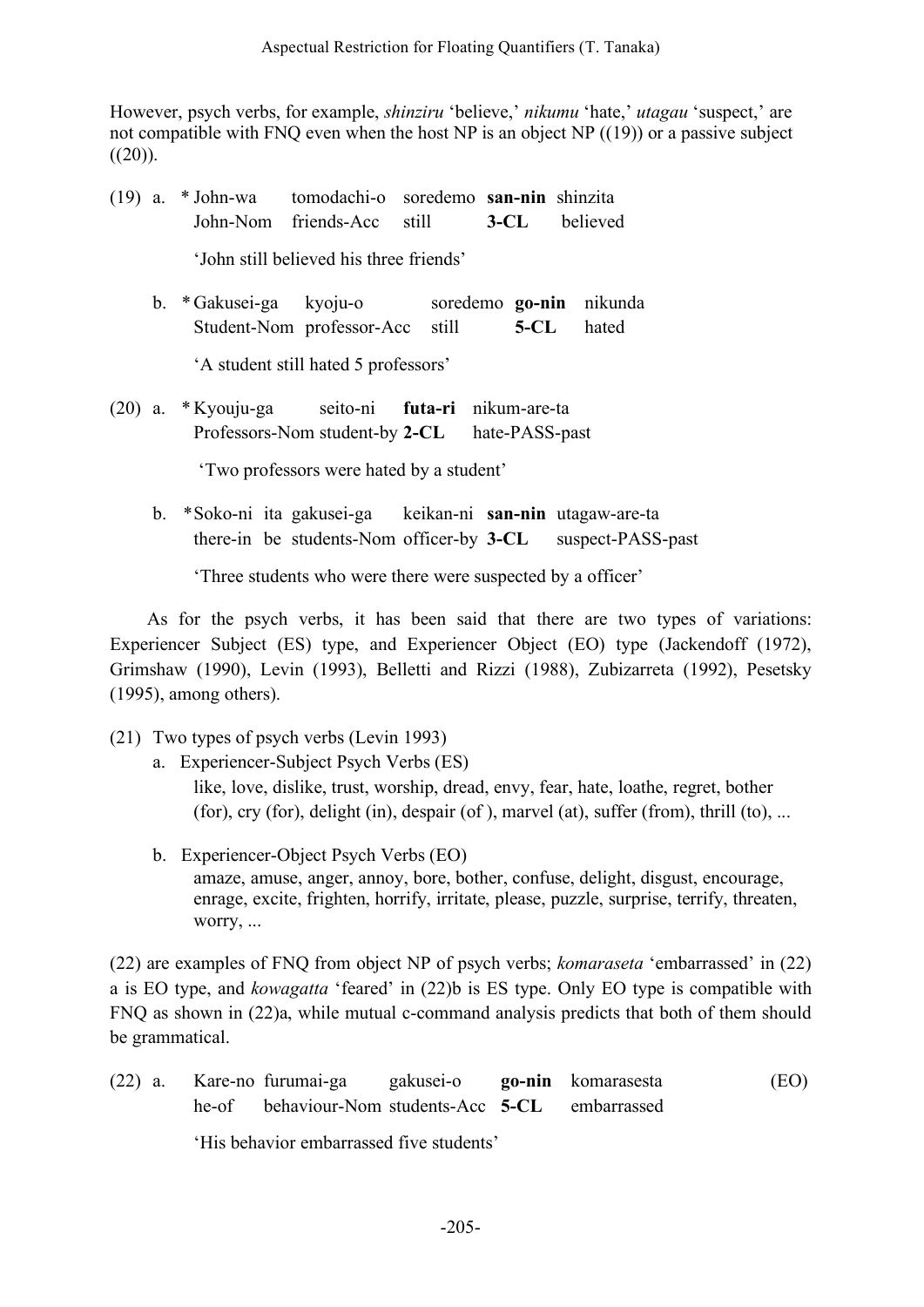However, psych verbs, for example, *shinziru* 'believe,' *nikumu* 'hate,' *utagau* 'suspect,' are not compatible with FNQ even when the host NP is an object NP ((19)) or a passive subject  $((20))$ .

- (19) a. \* John-wa tomodachi-o soredemo **san-nin** shinzita John-Nom friends-Acc still **3-CL** believed 'John still believed his three friends'
	- b. \*Gakusei-ga kyoju-o soredemo **go-nin** nikunda Student-Nom professor-Acc still **5-CL** hated

'A student still hated 5 professors'

(20) a. \* Kyouju-ga seito-ni **futa-ri** nikum-are-ta Professors-Nom student-by **2-CL** hate-PASS-past

'Two professors were hated by a student'

b. \*Soko-ni ita gakusei-ga keikan-ni **san-nin** utagaw-are-ta there-in be students-Nom officer-by **3-CL** suspect-PASS-past

'Three students who were there were suspected by a officer'

As for the psych verbs, it has been said that there are two types of variations: Experiencer Subject (ES) type, and Experiencer Object (EO) type (Jackendoff (1972), Grimshaw (1990), Levin (1993), Belletti and Rizzi (1988), Zubizarreta (1992), Pesetsky (1995), among others).

- (21) Two types of psych verbs (Levin 1993)
	- a. Experiencer-Subject Psych Verbs (ES) like, love, dislike, trust, worship, dread, envy, fear, hate, loathe, regret, bother (for), cry (for), delight (in), despair (of ), marvel (at), suffer (from), thrill (to), ...
	- b. Experiencer-Object Psych Verbs (EO) amaze, amuse, anger, annoy, bore, bother, confuse, delight, disgust, encourage, enrage, excite, frighten, horrify, irritate, please, puzzle, surprise, terrify, threaten, worry, ...

(22) are examples of FNQ from object NP of psych verbs; *komaraseta* 'embarrassed' in (22) a is EO type, and *kowagatta* 'feared' in (22)b is ES type. Only EO type is compatible with FNQ as shown in (22)a, while mutual c-command analysis predicts that both of them should be grammatical.

(22) a. Kare-no furumai-ga gakusei-o **go-nin** komarasesta (EO) he-of behaviour-Nom students-Acc **5-CL** embarrassed

'His behavior embarrassed five students'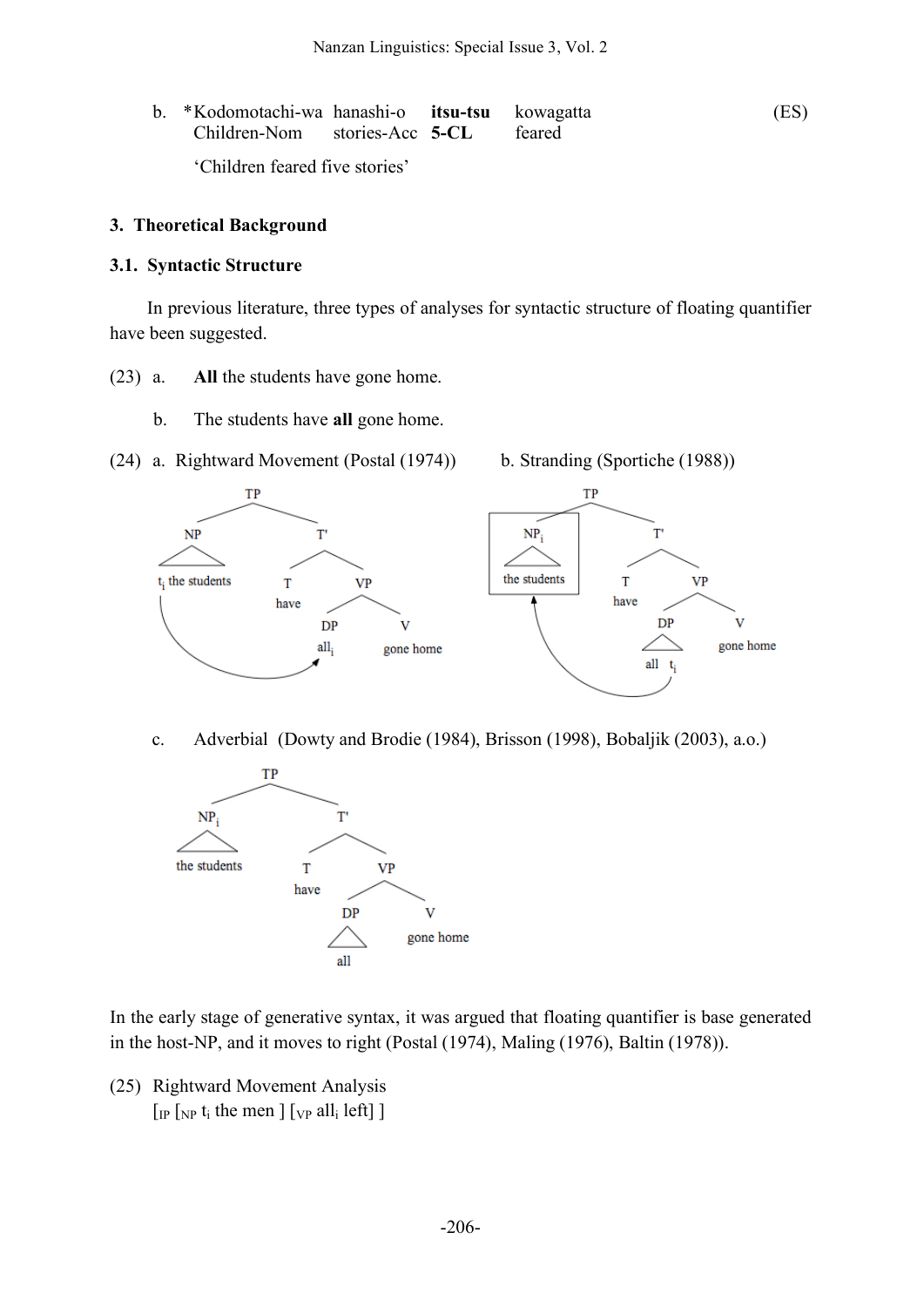b. \*Kodomotachi-wa hanashi-o **itsu-tsu** kowagatta (ES) Children-Nom stories-Acc **5-CL** feared 'Children feared five stories'

## **3. Theoretical Background**

### **3.1. Syntactic Structure**

In previous literature, three types of analyses for syntactic structure of floating quantifier have been suggested.

- (23) a. **All** the students have gone home.
	- b. The students have **all** gone home.
- (24) a. Rightward Movement (Postal (1974)) b. Stranding (Sportiche (1988))



c. Adverbial (Dowty and Brodie (1984), Brisson (1998), Bobaljik (2003), a.o.)



In the early stage of generative syntax, it was argued that floating quantifier is base generated in the host-NP, and it moves to right (Postal (1974), Maling (1976), Baltin (1978)).

(25) Rightward Movement Analysis  $\lceil \ln \lceil \frac{N}{N} \rceil$  t<sub>i</sub> the men  $\lceil \frac{N}{N} \rceil$  all<sub>i</sub> left  $\lceil \frac{N}{N} \rceil$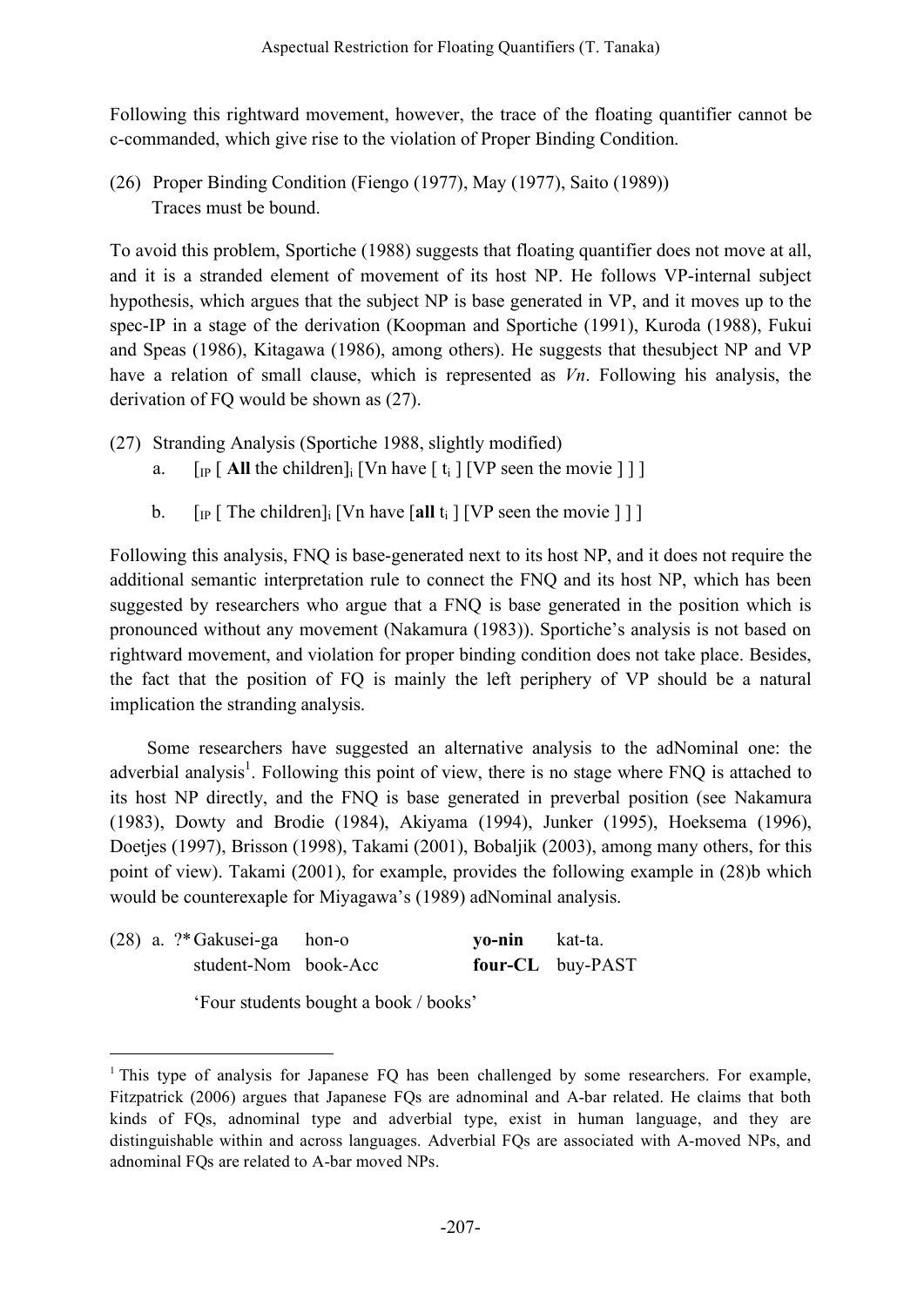Following this rightward movement, however, the trace of the floating quantifier cannot be c-commanded, which give rise to the violation of Proper Binding Condition.

(26) Proper Binding Condition (Fiengo (1977), May (1977), Saito (1989)) Traces must be bound.

To avoid this problem, Sportiche (1988) suggests that floating quantifier does not move at all, and it is a stranded element of movement of its host NP. He follows VP-internal subject hypothesis, which argues that the subject NP is base generated in VP, and it moves up to the spec-IP in a stage of the derivation (Koopman and Sportiche (1991), Kuroda (1988), Fukui and Speas (1986), Kitagawa (1986), among others). He suggests that thesubject NP and VP have a relation of small clause, which is represented as *Vn*. Following his analysis, the derivation of FQ would be shown as (27).

- (27) Stranding Analysis (Sportiche 1988, slightly modified)
	- a.  $\left[\begin{array}{cc} \n\text{I}_{\text{IP}} \mid \text{All the children} \n\end{array}\right]$  [Vn have  $\left[\begin{array}{c} t_i \mid \text{IVP seen the movie} \n\end{array}\right]$ ]
	- b.  $\left[\begin{array}{cc} \n\text{I}_P \mid \text{The children} \\
	\text{I} \mid \text{Van have} \\
	\text{I} \mid \text{I} \mid \text{VP seen the movie} \\
	\text{I} \mid \text{I}\n\end{array}\right]$

Following this analysis, FNQ is base-generated next to its host NP, and it does not require the additional semantic interpretation rule to connect the FNQ and its host NP, which has been suggested by researchers who argue that a FNQ is base generated in the position which is pronounced without any movement (Nakamura (1983)). Sportiche's analysis is not based on rightward movement, and violation for proper binding condition does not take place. Besides, the fact that the position of FQ is mainly the left periphery of VP should be a natural implication the stranding analysis.

Some researchers have suggested an alternative analysis to the adNominal one: the adverbial analysis<sup>1</sup>. Following this point of view, there is no stage where FNQ is attached to its host NP directly, and the FNQ is base generated in preverbal position (see Nakamura (1983), Dowty and Brodie (1984), Akiyama (1994), Junker (1995), Hoeksema (1996), Doetjes (1997), Brisson (1998), Takami (2001), Bobaljik (2003), among many others, for this point of view). Takami (2001), for example, provides the following example in (28)b which would be counterexaple for Miyagawa's (1989) adNominal analysis.

|  | $(28)$ a. ?* Gakusei-ga hon-o | <b>yo-nin</b> kat-ta. |                  |
|--|-------------------------------|-----------------------|------------------|
|  | student-Nom book-Acc          |                       | four-CL buy-PAST |

'Four students bought a book / books'

<sup>&</sup>lt;sup>1</sup> This type of analysis for Japanese FQ has been challenged by some researchers. For example, Fitzpatrick (2006) argues that Japanese FQs are adnominal and A-bar related. He claims that both kinds of FQs, adnominal type and adverbial type, exist in human language, and they are distinguishable within and across languages. Adverbial FQs are associated with A-moved NPs, and adnominal FQs are related to A-bar moved NPs.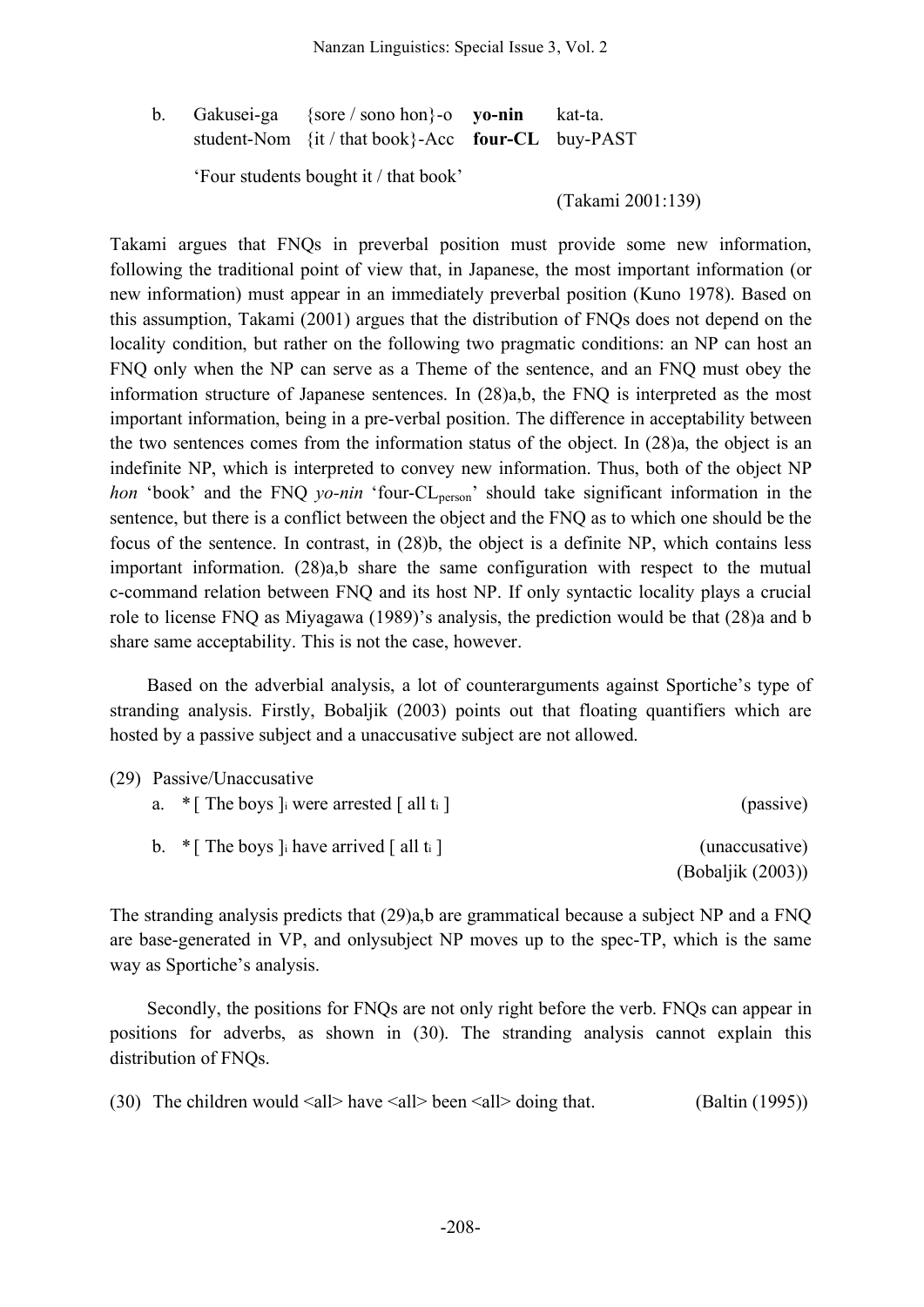b. Gakusei-ga {sore / sono hon}-o **yo-nin** kat-ta. student-Nom {it / that book}-Acc **four-CL** buy-PAST

'Four students bought it / that book'

(Takami 2001:139)

Takami argues that FNQs in preverbal position must provide some new information, following the traditional point of view that, in Japanese, the most important information (or new information) must appear in an immediately preverbal position (Kuno 1978). Based on this assumption, Takami (2001) argues that the distribution of FNQs does not depend on the locality condition, but rather on the following two pragmatic conditions: an NP can host an FNQ only when the NP can serve as a Theme of the sentence, and an FNQ must obey the information structure of Japanese sentences. In (28)a,b, the FNQ is interpreted as the most important information, being in a pre-verbal position. The difference in acceptability between the two sentences comes from the information status of the object. In (28)a, the object is an indefinite NP, which is interpreted to convey new information. Thus, both of the object NP *hon* 'book' and the FNQ *yo-nin* 'four-CL<sub>person</sub>' should take significant information in the sentence, but there is a conflict between the object and the FNQ as to which one should be the focus of the sentence. In contrast, in (28)b, the object is a definite NP, which contains less important information. (28)a,b share the same configuration with respect to the mutual c-command relation between FNQ and its host NP. If only syntactic locality plays a crucial role to license FNQ as Miyagawa (1989)'s analysis, the prediction would be that (28)a and b share same acceptability. This is not the case, however.

Based on the adverbial analysis, a lot of counterarguments against Sportiche's type of stranding analysis. Firstly, Bobaljik (2003) points out that floating quantifiers which are hosted by a passive subject and a unaccusative subject are not allowed.

|                   | (29) Passive/Unaccusative                       |  |
|-------------------|-------------------------------------------------|--|
| (passive)         | a. $\ast$ [ The boys ] were arrested [ all ti ] |  |
| (unaccusative)    | b. $\ast$ [ The boys ] have arrived [ all ti ]  |  |
| (Bobaljik (2003)) |                                                 |  |

The stranding analysis predicts that (29)a,b are grammatical because a subject NP and a FNQ are base-generated in VP, and onlysubject NP moves up to the spec-TP, which is the same way as Sportiche's analysis.

Secondly, the positions for FNQs are not only right before the verb. FNQs can appear in positions for adverbs, as shown in (30). The stranding analysis cannot explain this distribution of FNQs.

(30) The children would  $\langle \text{all} \rangle$  have  $\langle \text{all} \rangle$  been  $\langle \text{all} \rangle$  doing that. (Baltin (1995))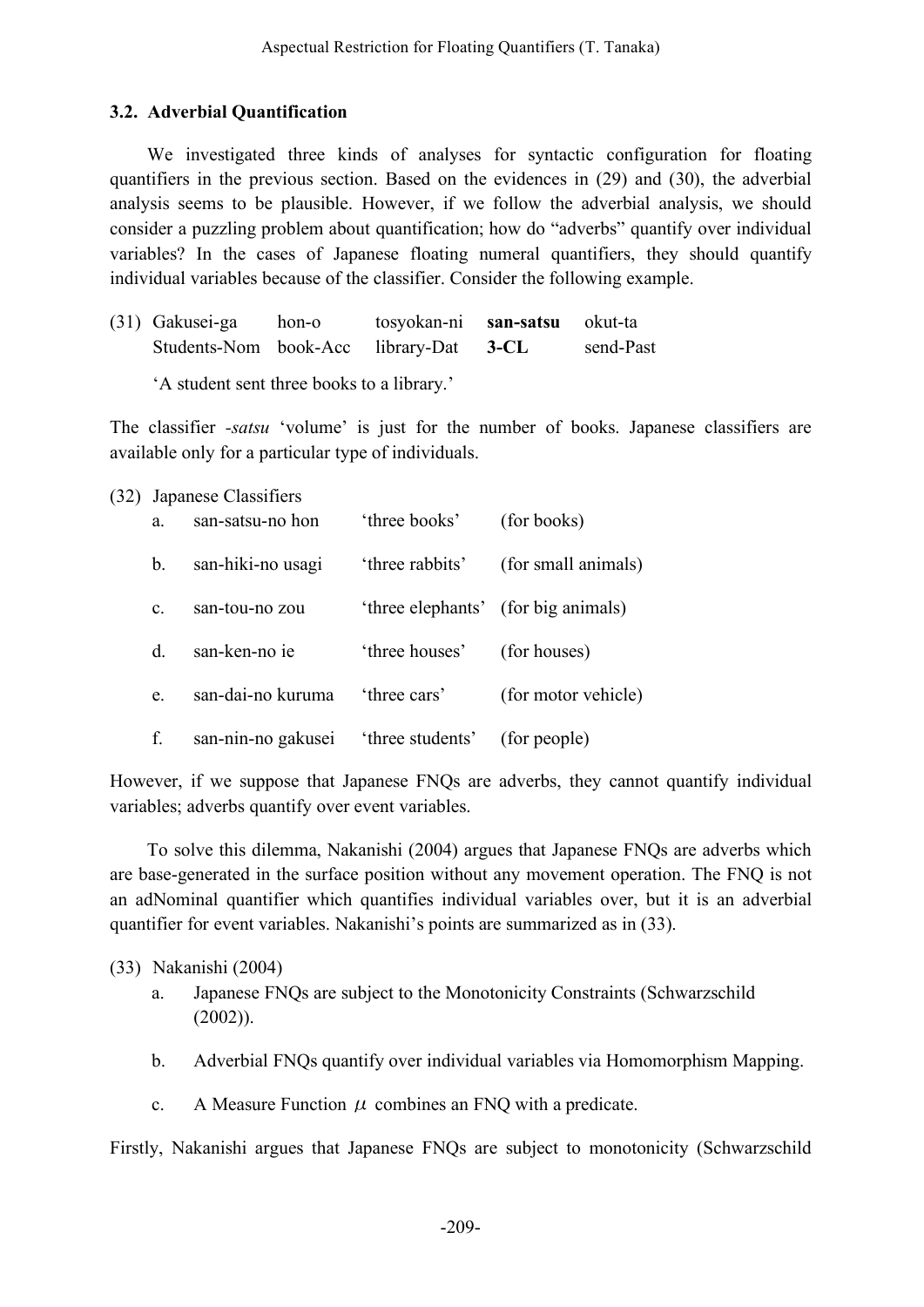# **3.2. Adverbial Quantification**

We investigated three kinds of analyses for syntactic configuration for floating quantifiers in the previous section. Based on the evidences in (29) and (30), the adverbial analysis seems to be plausible. However, if we follow the adverbial analysis, we should consider a puzzling problem about quantification; how do "adverbs" quantify over individual variables? In the cases of Japanese floating numeral quantifiers, they should quantify individual variables because of the classifier. Consider the following example.

| (31) Gakusei-ga                        | hon-o | tosyokan-ni san-satsu okut-ta |           |
|----------------------------------------|-------|-------------------------------|-----------|
| Students-Nom book-Acc library-Dat 3-CL |       |                               | send-Past |

'A student sent three books to a library.'

The classifier *-satsu* 'volume' is just for the number of books. Japanese classifiers are available only for a particular type of individuals.

### (32) Japanese Classifiers

| a.             | san-satsu-no hon   | 'three books'    | (for books)                         |
|----------------|--------------------|------------------|-------------------------------------|
| b.             | san-hiki-no usagi  | 'three rabbits'  | (for small animals)                 |
| $\mathbf{c}$ . | san-tou-no zou     |                  | 'three elephants' (for big animals) |
| d              | san-ken-no ie      | 'three houses'   | (for houses)                        |
| e.             | san-dai-no kuruma  | 'three cars'     | (for motor vehicle)                 |
| f.             | san-nin-no gakusei | 'three students' | (for people)                        |

However, if we suppose that Japanese FNQs are adverbs, they cannot quantify individual variables; adverbs quantify over event variables.

To solve this dilemma, Nakanishi (2004) argues that Japanese FNQs are adverbs which are base-generated in the surface position without any movement operation. The FNQ is not an adNominal quantifier which quantifies individual variables over, but it is an adverbial quantifier for event variables. Nakanishi's points are summarized as in (33).

### (33) Nakanishi (2004)

- a. Japanese FNQs are subject to the Monotonicity Constraints (Schwarzschild (2002)).
- b. Adverbial FNQs quantify over individual variables via Homomorphism Mapping.
- c. A Measure Function  $\mu$  combines an FNQ with a predicate.

Firstly, Nakanishi argues that Japanese FNQs are subject to monotonicity (Schwarzschild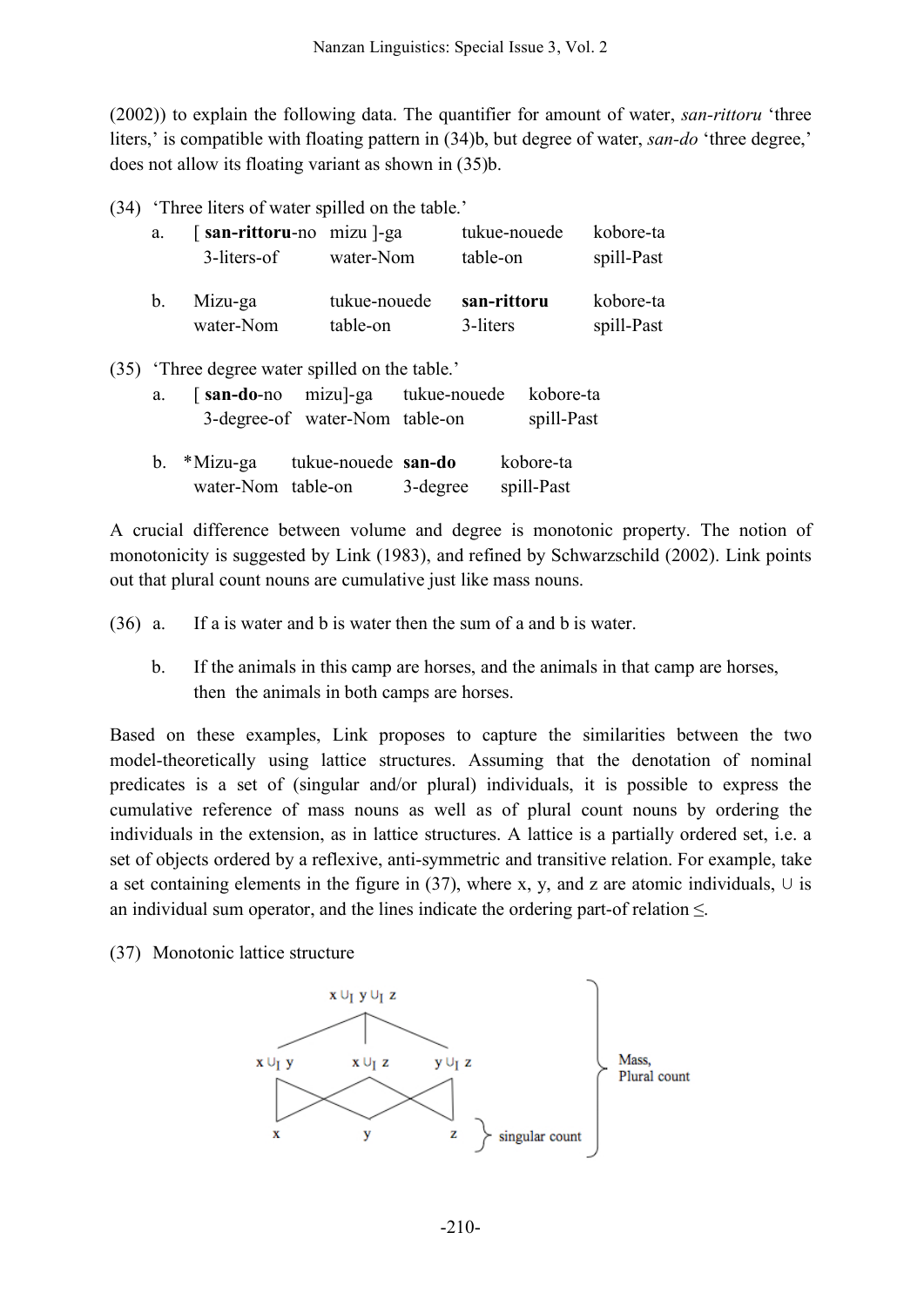(2002)) to explain the following data. The quantifier for amount of water, *san-rittoru* 'three liters,' is compatible with floating pattern in (34)b, but degree of water, *san-do* 'three degree,' does not allow its floating variant as shown in (35)b.

(34) 'Three liters of water spilled on the table.'

| a.          | [san-rittoru-no mizu]-ga<br>3-liters-of | water-Nom    | tukue-nouede<br>table-on | kobore-ta<br>spill-Past |
|-------------|-----------------------------------------|--------------|--------------------------|-------------------------|
| $b_{\cdot}$ | Mizu-ga                                 | tukue-nouede | san-rittoru              | kobore-ta               |
|             | water-Nom                               | table-on     | 3-liters                 | spill-Past              |

(35) 'Three degree water spilled on the table.'

| a. |                    | [san-do-no mizu]-ga tukue-nouede kobore-ta |          |            |
|----|--------------------|--------------------------------------------|----------|------------|
|    |                    | 3-degree-of water-Nom table-on             |          | spill-Past |
|    | b. *Mizu-ga        | tukue-nouede san-do                        |          | kobore-ta  |
|    | water-Nom table-on |                                            | 3-degree | spill-Past |

A crucial difference between volume and degree is monotonic property. The notion of monotonicity is suggested by Link (1983), and refined by Schwarzschild (2002). Link points out that plural count nouns are cumulative just like mass nouns.

(36) a. If a is water and b is water then the sum of a and b is water.

b. If the animals in this camp are horses, and the animals in that camp are horses, then the animals in both camps are horses.

Based on these examples, Link proposes to capture the similarities between the two model-theoretically using lattice structures. Assuming that the denotation of nominal predicates is a set of (singular and/or plural) individuals, it is possible to express the cumulative reference of mass nouns as well as of plural count nouns by ordering the individuals in the extension, as in lattice structures. A lattice is a partially ordered set, i.e. a set of objects ordered by a reflexive, anti-symmetric and transitive relation. For example, take a set containing elements in the figure in (37), where x, y, and z are atomic individuals,  $\cup$  is an individual sum operator, and the lines indicate the ordering part-of relation ≤.

(37) Monotonic lattice structure

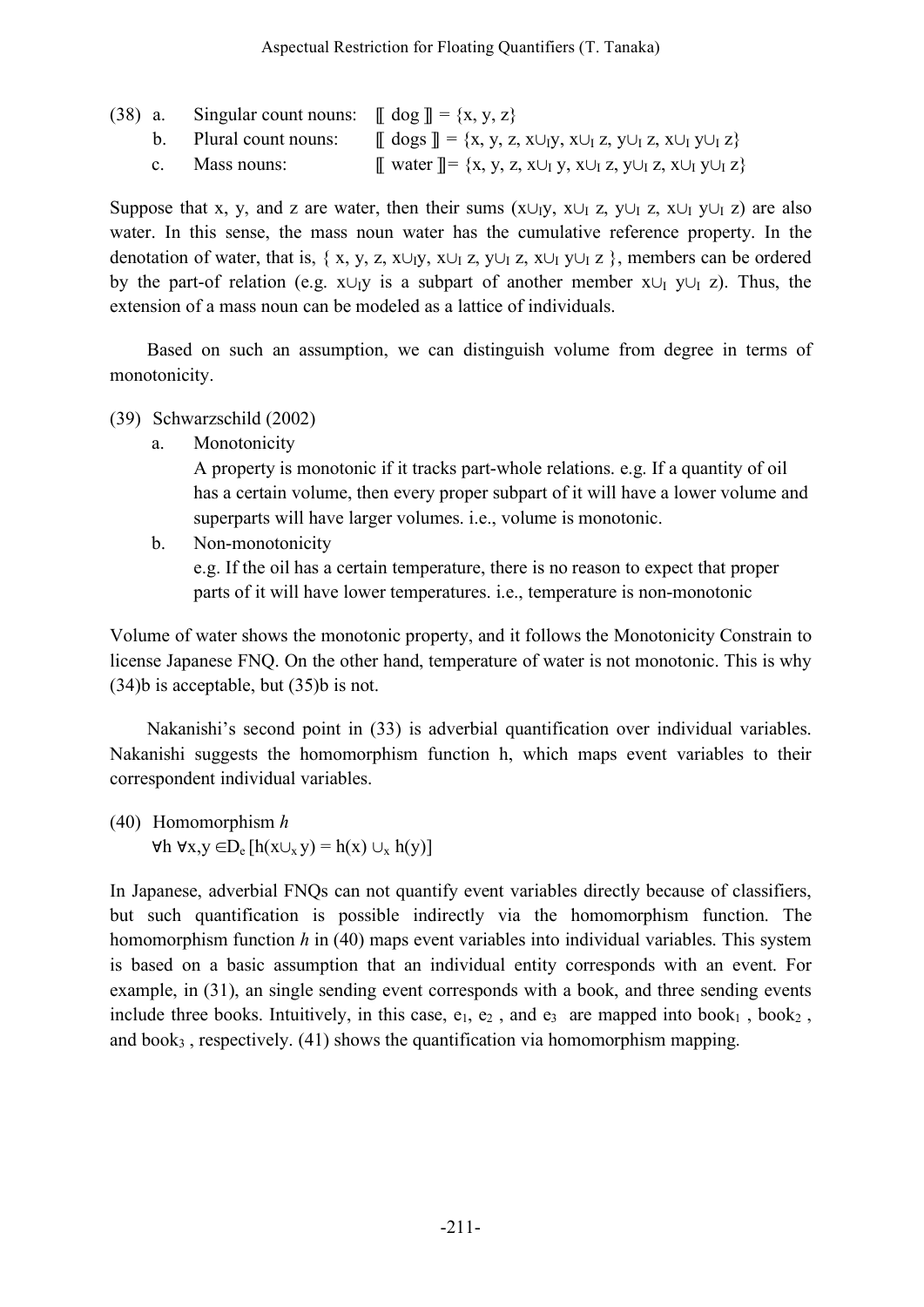|  | (38) a. Singular count nouns: $\[\phi]$ dog $\] = \{x, y, z\}$ |                                                                                                                         |
|--|----------------------------------------------------------------|-------------------------------------------------------------------------------------------------------------------------|
|  | b. Plural count nouns:                                         | $\left[\right]$ dogs $\right]$ = {x, y, z, x $\cup_{i}$ y, x $\cup_{i}$ z, y $\cup_{i}$ z, x $\cup_{i}$ y $\cup_{i}$ z} |
|  | c. Mass nouns:                                                 | $\llbracket$ water $\rrbracket = \{x, y, z, x \cup_I y, x \cup_I z, y \cup_I z, x \cup_I y \cup_I z\}$                  |

Suppose that x, y, and z are water, then their sums (x∪<sub>I</sub>y, x∪<sub>I</sub> z, y∪<sub>I</sub> z, x∪<sub>I</sub> y∪<sub>I</sub> z) are also water. In this sense, the mass noun water has the cumulative reference property. In the denotation of water, that is, { x, y, z, x∪<sub>I</sub>y, x∪<sub>I</sub> z, y∪<sub>I</sub> z, x∪<sub>I</sub> y∪<sub>I</sub> z }, members can be ordered by the part-of relation (e.g.  $x \cup_1 y$  is a subpart of another member  $x \cup_1 y \cup_1 z$ ). Thus, the extension of a mass noun can be modeled as a lattice of individuals.

Based on such an assumption, we can distinguish volume from degree in terms of monotonicity.

(39) Schwarzschild (2002)

a. Monotonicity

A property is monotonic if it tracks part-whole relations. e.g. If a quantity of oil has a certain volume, then every proper subpart of it will have a lower volume and superparts will have larger volumes. i.e., volume is monotonic.

b. Non-monotonicity

e.g. If the oil has a certain temperature, there is no reason to expect that proper parts of it will have lower temperatures. i.e., temperature is non-monotonic

Volume of water shows the monotonic property, and it follows the Monotonicity Constrain to license Japanese FNQ. On the other hand, temperature of water is not monotonic. This is why (34)b is acceptable, but (35)b is not.

Nakanishi's second point in (33) is adverbial quantification over individual variables. Nakanishi suggests the homomorphism function h, which maps event variables to their correspondent individual variables.

(40) Homomorphism *h*  $\forall h \forall x, y \in D_e [h(x \cup_x y) = h(x) \cup_x h(y)]$ 

In Japanese, adverbial FNQs can not quantify event variables directly because of classifiers, but such quantification is possible indirectly via the homomorphism function. The homomorphism function *h* in (40) maps event variables into individual variables. This system is based on a basic assumption that an individual entity corresponds with an event. For example, in (31), an single sending event corresponds with a book, and three sending events include three books. Intuitively, in this case,  $e_1$ ,  $e_2$ , and  $e_3$  are mapped into book<sub>1</sub>, book<sub>2</sub>, and  $book<sub>3</sub>$ , respectively. (41) shows the quantification via homomorphism mapping.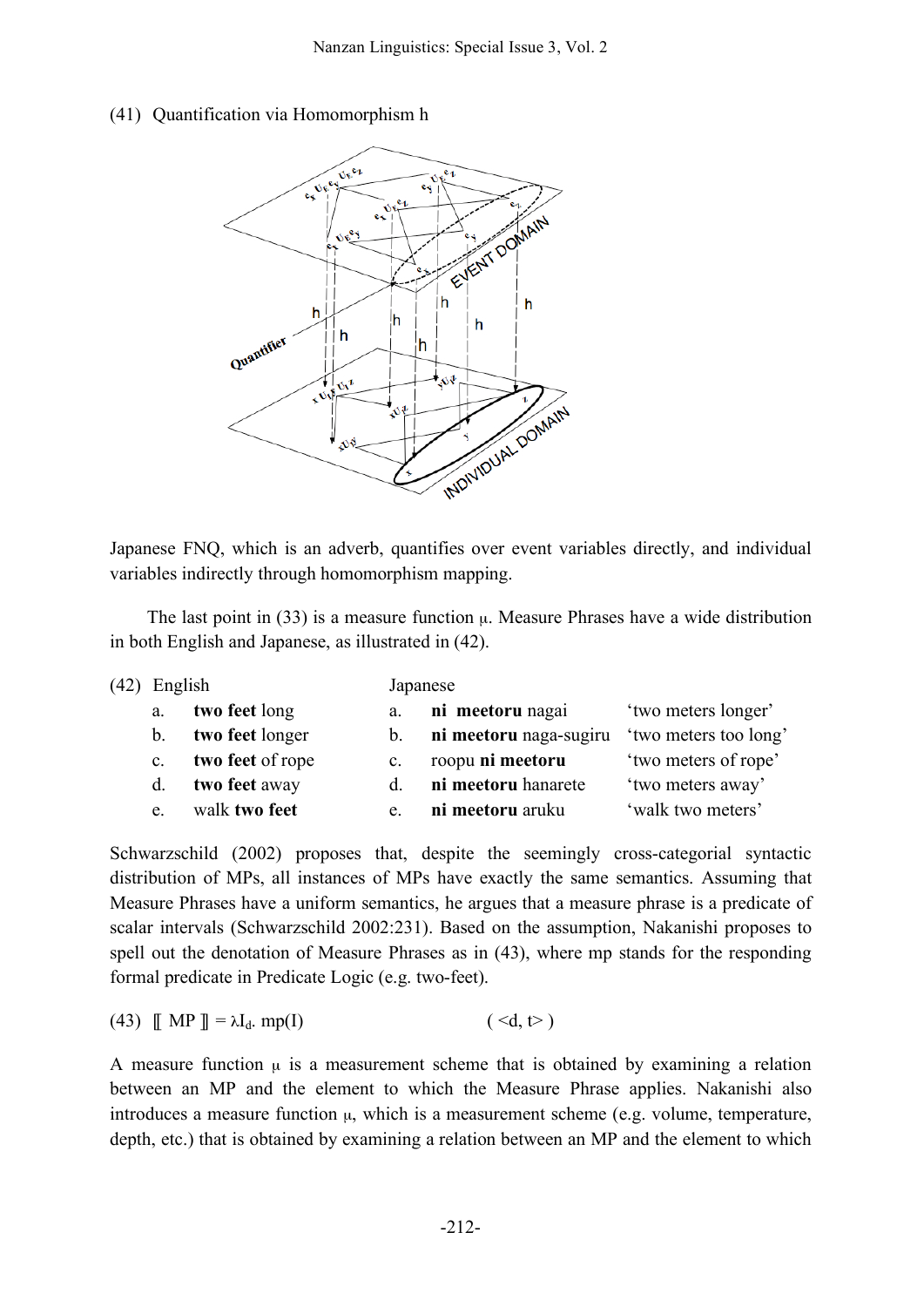## (41) Quantification via Homomorphism h



Japanese FNQ, which is an adverb, quantifies over event variables directly, and individual variables indirectly through homomorphism mapping.

The last point in  $(33)$  is a measure function  $\mu$ . Measure Phrases have a wide distribution in both English and Japanese, as illustrated in (42).

| (42) | English        |                  |                | Japanese               |                       |  |  |
|------|----------------|------------------|----------------|------------------------|-----------------------|--|--|
|      | a.             | two feet long    | a.             | ni meetoru nagai       | 'two meters longer'   |  |  |
|      | $b_{-}$        | two feet longer  | $b_{-}$        | ni meetoru naga-sugiru | 'two meters too long' |  |  |
|      | $\mathbf{c}$ . | two feet of rope | $\mathbf{c}$ . | roopu ni meetoru       | 'two meters of rope'  |  |  |
|      | d.             | two feet away    | d.             | ni meetoru hanarete    | 'two meters away'     |  |  |
|      | e.             | walk two feet    | e.             | ni meetoru aruku       | 'walk two meters'     |  |  |

Schwarzschild (2002) proposes that, despite the seemingly cross-categorial syntactic distribution of MPs, all instances of MPs have exactly the same semantics. Assuming that Measure Phrases have a uniform semantics, he argues that a measure phrase is a predicate of scalar intervals (Schwarzschild 2002:231). Based on the assumption, Nakanishi proposes to spell out the denotation of Measure Phrases as in (43), where mp stands for the responding formal predicate in Predicate Logic (e.g. two-feet).

(43) 
$$
\llbracket MP \rrbracket = \lambda I_d. \text{mp}(I) \tag{  } \tag{}
$$

A measure function  $\mu$  is a measurement scheme that is obtained by examining a relation between an MP and the element to which the Measure Phrase applies. Nakanishi also introduces a measure function  $\mu$ , which is a measurement scheme (e.g. volume, temperature, depth, etc.) that is obtained by examining a relation between an MP and the element to which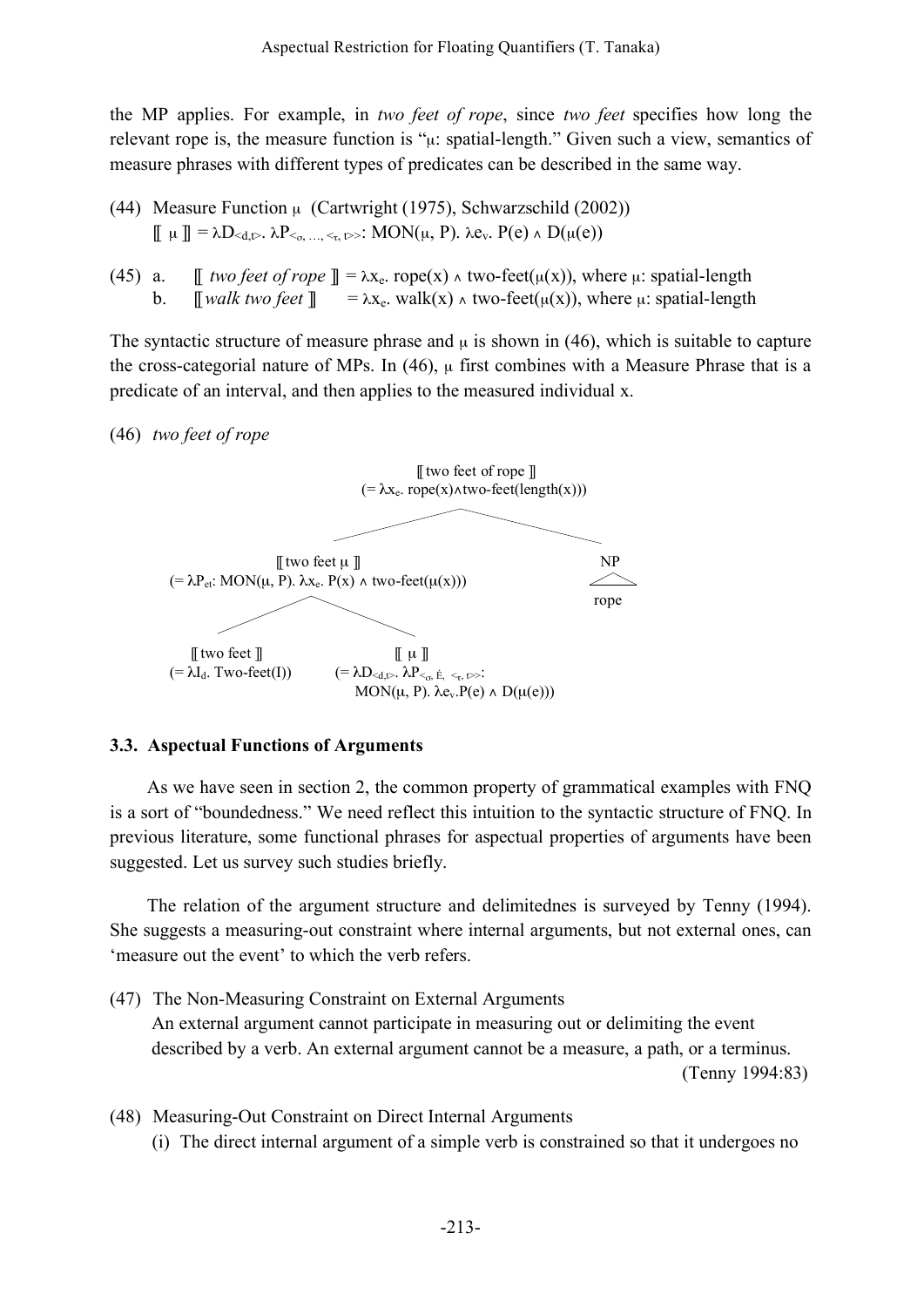the MP applies. For example, in *two feet of rope*, since *two feet* specifies how long the relevant rope is, the measure function is " $\mu$ : spatial-length." Given such a view, semantics of measure phrases with different types of predicates can be described in the same way.

- (44) Measure Function  $\mu$  (Cartwright (1975), Schwarzschild (2002))  $\parallel \mu \parallel = \lambda D_{\leq d,t}$ .  $\lambda P_{\leq \alpha, \ldots, \leq \alpha, t}$ . MON $(\mu, P)$ .  $\lambda e_v$ .  $P(e) \wedge D(\mu(e))$
- (45) a.  $\parallel$  *two feet of rope*  $\parallel = \lambda x_e$ . rope(x)  $\wedge$  *two-feet*( $\mu(x)$ ), where  $\mu$ : spatial-length b.  $\lbrack \lbrack \rbrack$  *walk two feet*  $\lbrack \rbrack = \lambda x_e$ . walk(x)  $\wedge$  two-feet( $\mu(x)$ ), where  $\mu$ : spatial-length

The syntactic structure of measure phrase and  $\mu$  is shown in (46), which is suitable to capture the cross-categorial nature of MPs. In  $(46)$ ,  $\mu$  first combines with a Measure Phrase that is a predicate of an interval, and then applies to the measured individual x.

(46) *two feet of rope*



## **3.3. Aspectual Functions of Arguments**

As we have seen in section 2, the common property of grammatical examples with FNQ is a sort of "boundedness." We need reflect this intuition to the syntactic structure of FNQ. In previous literature, some functional phrases for aspectual properties of arguments have been suggested. Let us survey such studies briefly.

The relation of the argument structure and delimitednes is surveyed by Tenny (1994). She suggests a measuring-out constraint where internal arguments, but not external ones, can 'measure out the event' to which the verb refers.

- (47) The Non-Measuring Constraint on External Arguments An external argument cannot participate in measuring out or delimiting the event described by a verb. An external argument cannot be a measure, a path, or a terminus. (Tenny 1994:83)
- (48) Measuring-Out Constraint on Direct Internal Arguments (i) The direct internal argument of a simple verb is constrained so that it undergoes no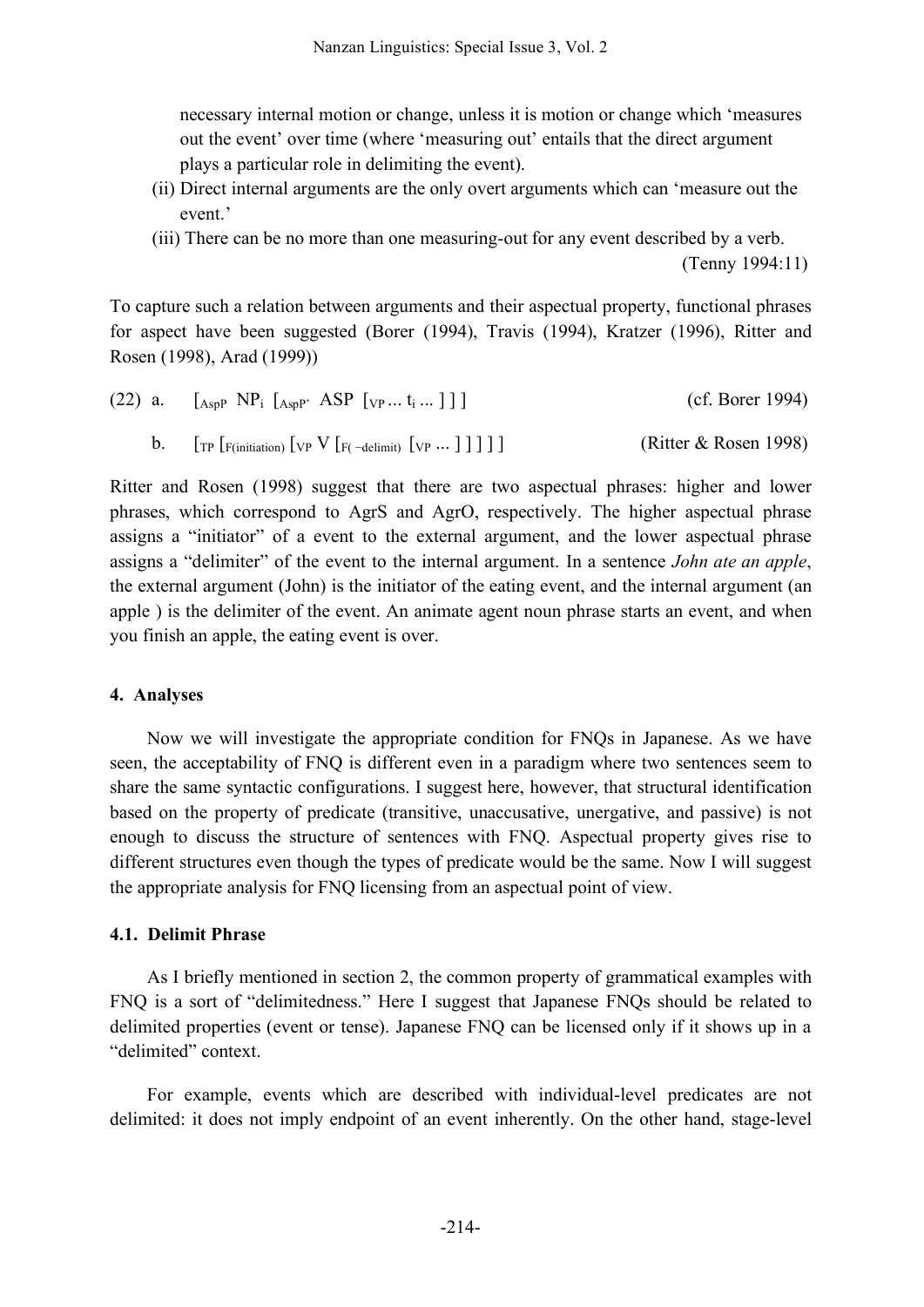necessary internal motion or change, unless it is motion or change which 'measures out the event' over time (where 'measuring out' entails that the direct argument plays a particular role in delimiting the event).

- (ii) Direct internal arguments are the only overt arguments which can 'measure out the event.'
- (iii) There can be no more than one measuring-out for any event described by a verb. (Tenny 1994:11)

To capture such a relation between arguments and their aspectual property, functional phrases for aspect have been suggested (Borer (1994), Travis (1994), Kratzer (1996), Ritter and Rosen (1998), Arad (1999))

| (22) a. $[_{AspP} NP_i [_{AspP'} ASP [_{VP} t_i]]]$                                                                                                                      | (cf. Borer 1994)      |
|--------------------------------------------------------------------------------------------------------------------------------------------------------------------------|-----------------------|
| <b>b.</b> $\left[\text{TP}\left[\text{F}(intiation)\left[\text{VP}\left\{Y\left[\text{F}(-delimit)\left[\text{VP}\dots\right]\right]\right]\right]\right]\right]\right]$ | (Ritter & Rosen 1998) |

Ritter and Rosen (1998) suggest that there are two aspectual phrases: higher and lower phrases, which correspond to AgrS and AgrO, respectively. The higher aspectual phrase assigns a "initiator" of a event to the external argument, and the lower aspectual phrase assigns a "delimiter" of the event to the internal argument. In a sentence *John ate an apple*, the external argument (John) is the initiator of the eating event, and the internal argument (an apple ) is the delimiter of the event. An animate agent noun phrase starts an event, and when you finish an apple, the eating event is over.

## **4. Analyses**

Now we will investigate the appropriate condition for FNQs in Japanese. As we have seen, the acceptability of FNQ is different even in a paradigm where two sentences seem to share the same syntactic configurations. I suggest here, however, that structural identification based on the property of predicate (transitive, unaccusative, unergative, and passive) is not enough to discuss the structure of sentences with FNQ. Aspectual property gives rise to different structures even though the types of predicate would be the same. Now I will suggest the appropriate analysis for FNQ licensing from an aspectual point of view.

## **4.1. Delimit Phrase**

As I briefly mentioned in section 2, the common property of grammatical examples with FNQ is a sort of "delimitedness." Here I suggest that Japanese FNQs should be related to delimited properties (event or tense). Japanese FNQ can be licensed only if it shows up in a "delimited" context.

For example, events which are described with individual-level predicates are not delimited: it does not imply endpoint of an event inherently. On the other hand, stage-level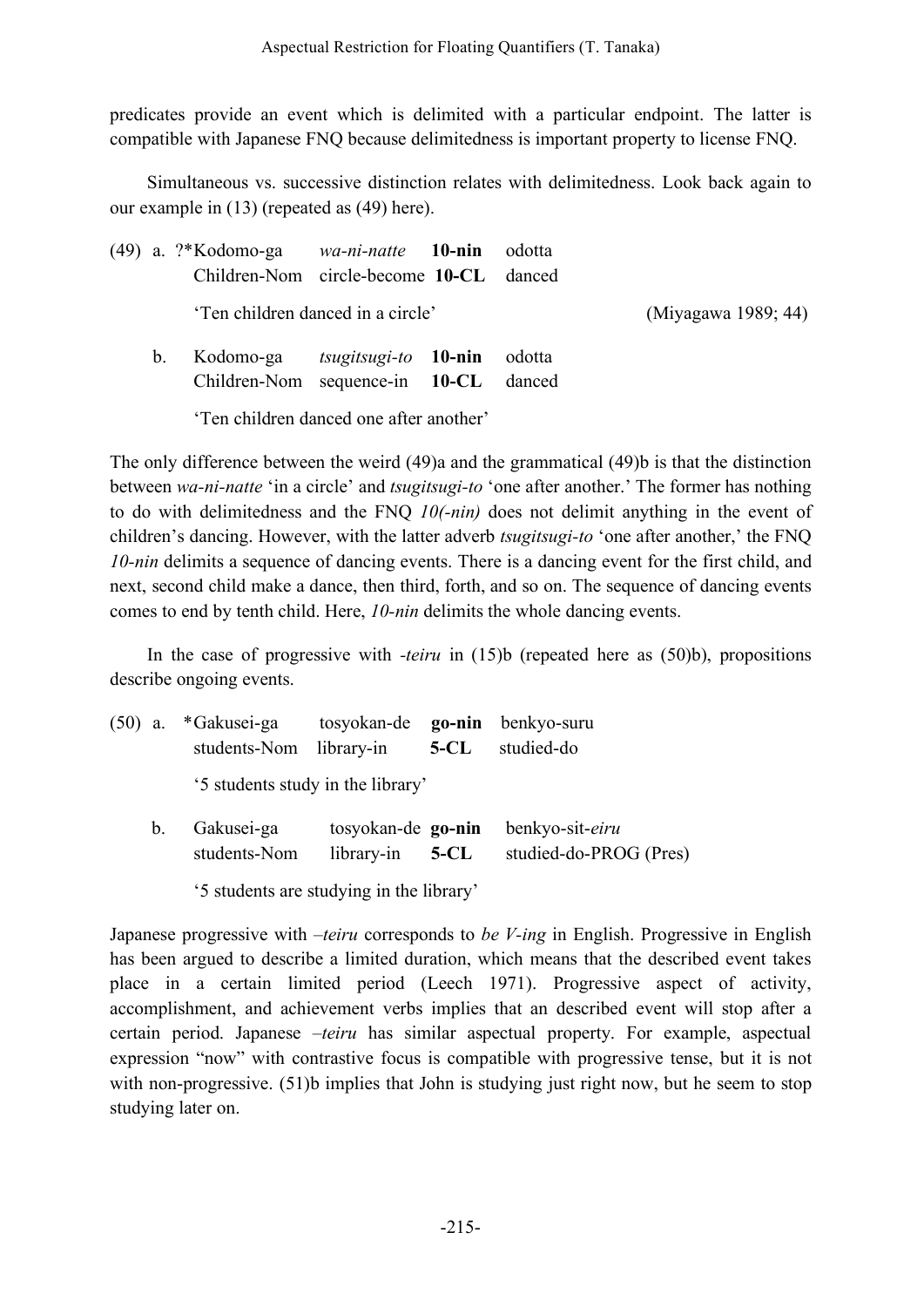predicates provide an event which is delimited with a particular endpoint. The latter is compatible with Japanese FNQ because delimitedness is important property to license FNQ.

Simultaneous vs. successive distinction relates with delimitedness. Look back again to our example in (13) (repeated as (49) here).

|                | (49) a. ?*Kodomo-ga wa-ni-natte 10-nin odotta<br>Children-Nom circle-become 10-CL danced |                             |        |                     |
|----------------|------------------------------------------------------------------------------------------|-----------------------------|--------|---------------------|
|                | 'Ten children danced in a circle'                                                        |                             |        | (Miyagawa 1989; 44) |
| b <sub>1</sub> | Kodomo-ga<br>Children-Nom sequence-in 10-CL danced                                       | <i>tsugitsugi-to</i> 10-nin | odotta |                     |
|                | 'Ten children danced one after another'                                                  |                             |        |                     |

The only difference between the weird (49)a and the grammatical (49)b is that the distinction between *wa-ni-natte* 'in a circle' and *tsugitsugi-to* 'one after another.' The former has nothing to do with delimitedness and the FNQ *10(-nin)* does not delimit anything in the event of children's dancing. However, with the latter adverb *tsugitsugi-to* 'one after another,' the FNQ *10-nin* delimits a sequence of dancing events. There is a dancing event for the first child, and next, second child make a dance, then third, forth, and so on. The sequence of dancing events comes to end by tenth child. Here, *10-nin* delimits the whole dancing events.

In the case of progressive with *-teiru* in (15)b (repeated here as (50)b), propositions describe ongoing events.

|             | (50) a. *Gakusei-ga<br>students-Nom library-in | tosyokan-de <b>go-nin</b>        | $5 - CL$ | benkyo-suru<br>studied-do                 |
|-------------|------------------------------------------------|----------------------------------|----------|-------------------------------------------|
|             | '5 students study in the library'              |                                  |          |                                           |
| $b_{\cdot}$ | Gakusei-ga<br>students-Nom                     | tosyokan-de go-nin<br>library-in | $5-CL$   | benkyo-sit-eiru<br>studied-do-PROG (Pres) |

'5 students are studying in the library'

Japanese progressive with *–teiru* corresponds to *be V-ing* in English. Progressive in English has been argued to describe a limited duration, which means that the described event takes place in a certain limited period (Leech 1971). Progressive aspect of activity, accomplishment, and achievement verbs implies that an described event will stop after a certain period. Japanese *–teiru* has similar aspectual property. For example, aspectual expression "now" with contrastive focus is compatible with progressive tense, but it is not with non-progressive. (51)b implies that John is studying just right now, but he seem to stop studying later on.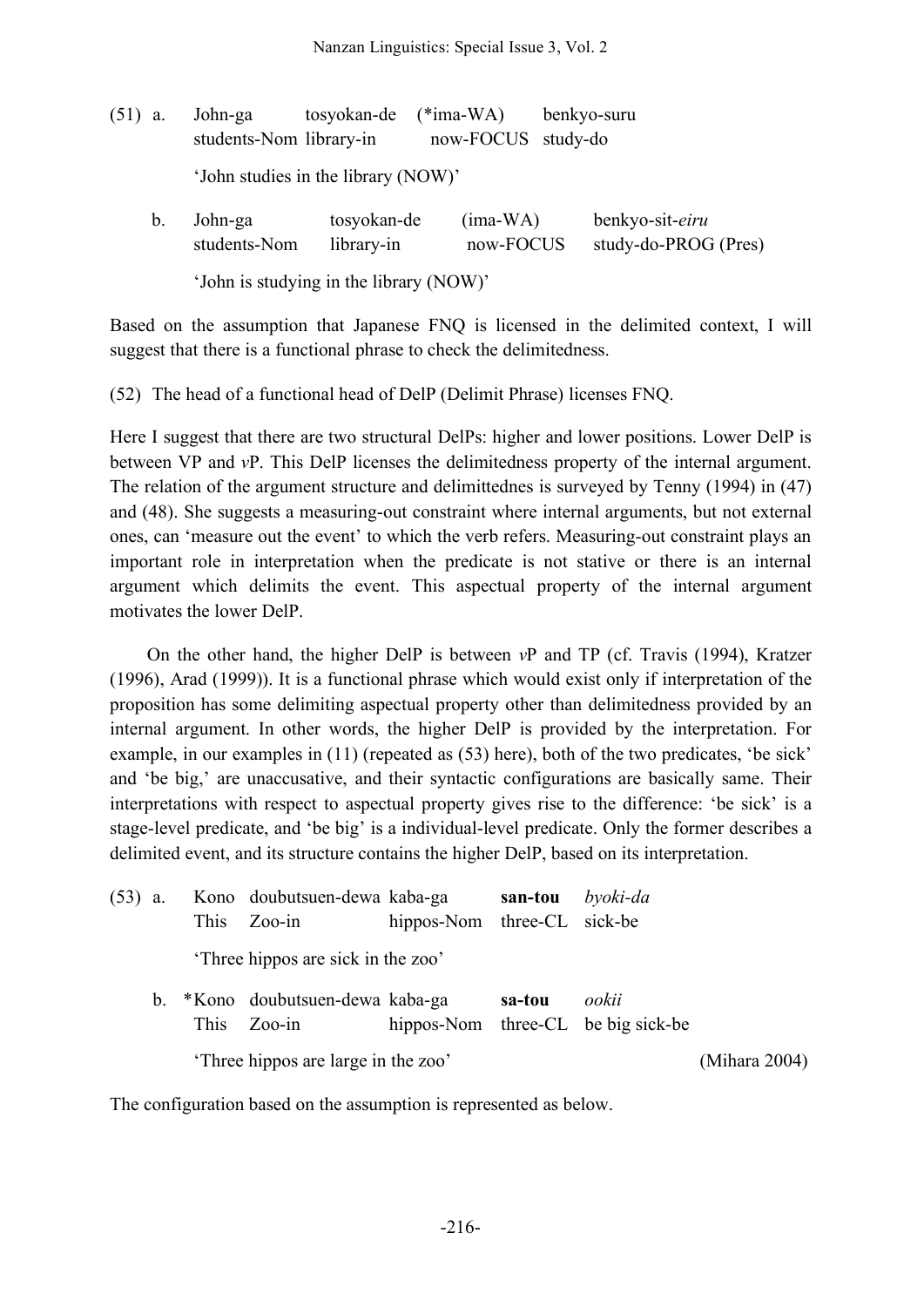| $(51)$ a. |    | John-ga<br>students-Nom library-in  | tosyokan-de                             | $(*ima-WA)$<br>now-FOCUS | benkyo-suru<br>study-do |                                         |
|-----------|----|-------------------------------------|-----------------------------------------|--------------------------|-------------------------|-----------------------------------------|
|           |    | 'John studies in the library (NOW)' |                                         |                          |                         |                                         |
|           | b. | John-ga<br>students-Nom             | tosyokan-de<br>library-in               | $(ima-WA)$<br>now-FOCUS  |                         | benkyo-sit-eiru<br>study-do-PROG (Pres) |
|           |    |                                     | 'John is studying in the library (NOW)' |                          |                         |                                         |

Based on the assumption that Japanese FNQ is licensed in the delimited context, I will suggest that there is a functional phrase to check the delimitedness.

(52) The head of a functional head of DelP (Delimit Phrase) licenses FNQ.

Here I suggest that there are two structural DelPs: higher and lower positions. Lower DelP is between VP and *v*P. This DelP licenses the delimitedness property of the internal argument. The relation of the argument structure and delimittednes is surveyed by Tenny (1994) in (47) and (48). She suggests a measuring-out constraint where internal arguments, but not external ones, can 'measure out the event' to which the verb refers. Measuring-out constraint plays an important role in interpretation when the predicate is not stative or there is an internal argument which delimits the event. This aspectual property of the internal argument motivates the lower DelP.

On the other hand, the higher DelP is between *v*P and TP (cf. Travis (1994), Kratzer (1996), Arad (1999)). It is a functional phrase which would exist only if interpretation of the proposition has some delimiting aspectual property other than delimitedness provided by an internal argument. In other words, the higher DelP is provided by the interpretation. For example, in our examples in (11) (repeated as (53) here), both of the two predicates, 'be sick' and 'be big,' are unaccusative, and their syntactic configurations are basically same. Their interpretations with respect to aspectual property gives rise to the difference: 'be sick' is a stage-level predicate, and 'be big' is a individual-level predicate. Only the former describes a delimited event, and its structure contains the higher DelP, based on its interpretation.

| $(53)$ a. |    | <b>This</b> | Kono doubutsuen-dewa kaba-ga<br>$Zoo-in$  | hippos-Nom three-CL sick-be | san-tou | byoki-da                                    |               |
|-----------|----|-------------|-------------------------------------------|-----------------------------|---------|---------------------------------------------|---------------|
|           |    |             | Three hippos are sick in the zoo'         |                             |         |                                             |               |
|           | b. | <b>This</b> | *Kono doubutsuen-dewa kaba-ga<br>$Zoo-in$ |                             | sa-tou  | ookii<br>hippos-Nom three-CL be big sick-be |               |
|           |    |             | Three hippos are large in the zoo'        |                             |         |                                             | (Mihara 2004) |

The configuration based on the assumption is represented as below.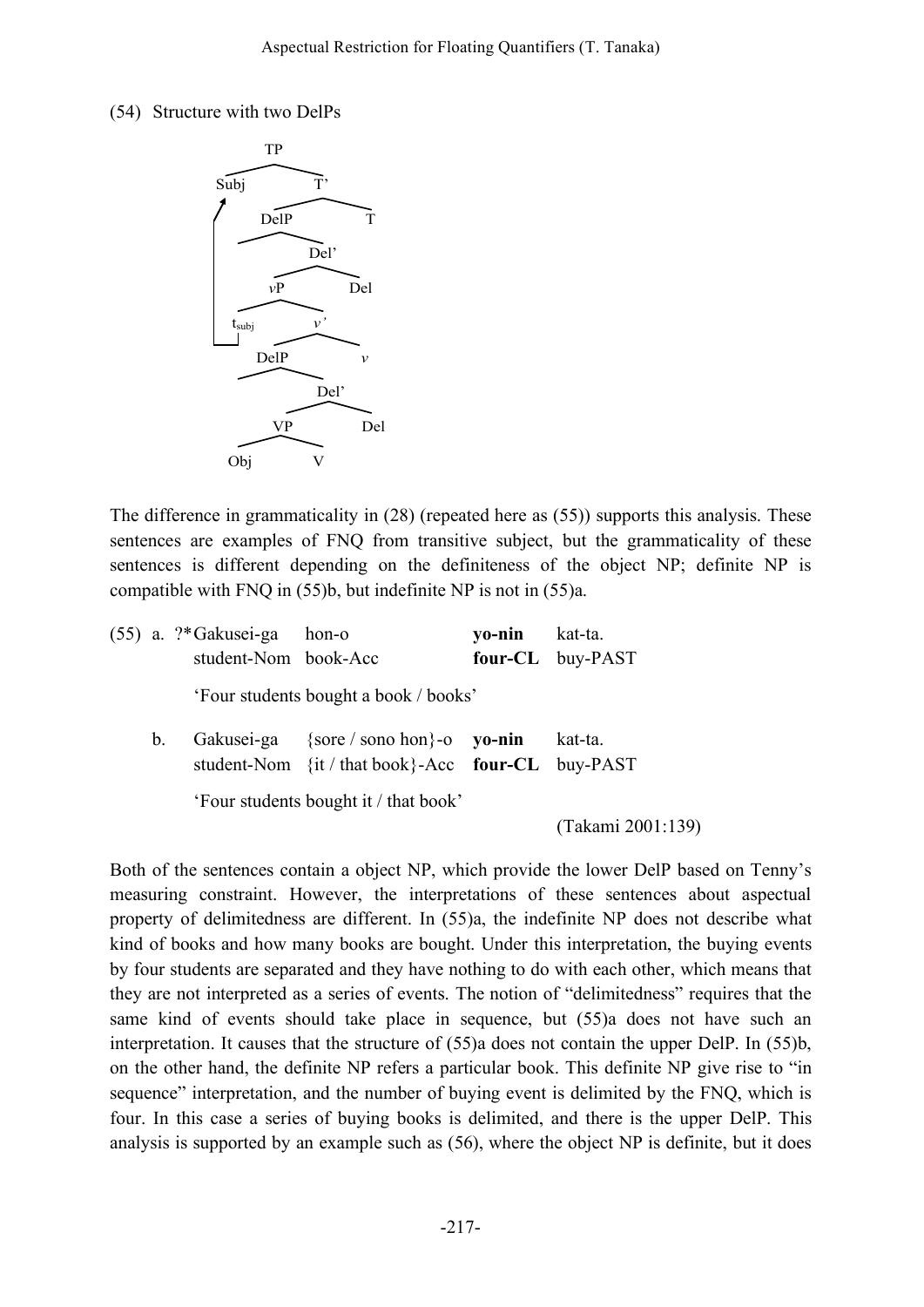### (54) Structure with two DelPs



The difference in grammaticality in (28) (repeated here as (55)) supports this analysis. These sentences are examples of FNQ from transitive subject, but the grammaticality of these sentences is different depending on the definiteness of the object NP; definite NP is compatible with FNQ in (55)b, but indefinite NP is not in (55)a.

|             | $(55)$ a. ?*Gakusei-ga hon-o<br>student-Nom book-Acc |                                                                                                   | yo-nin kat-ta. | four-CL buy-PAST                        |
|-------------|------------------------------------------------------|---------------------------------------------------------------------------------------------------|----------------|-----------------------------------------|
|             |                                                      | 'Four students bought a book / books'                                                             |                |                                         |
| $b_{\cdot}$ |                                                      | Gakusei-ga {sore / sono hon}-o <b>yo-nin</b><br>student-Nom {it / that book}-Acc four-CL buy-PAST |                | kat-ta.                                 |
|             |                                                      | 'Four students bought it / that book'                                                             |                | $(T_{\alpha}1_{\alpha}; \eta_{\alpha})$ |

(Takami 2001:139)

Both of the sentences contain a object NP, which provide the lower DelP based on Tenny's measuring constraint. However, the interpretations of these sentences about aspectual property of delimitedness are different. In (55)a, the indefinite NP does not describe what kind of books and how many books are bought. Under this interpretation, the buying events by four students are separated and they have nothing to do with each other, which means that they are not interpreted as a series of events. The notion of "delimitedness" requires that the same kind of events should take place in sequence, but (55)a does not have such an interpretation. It causes that the structure of (55)a does not contain the upper DelP. In (55)b, on the other hand, the definite NP refers a particular book. This definite NP give rise to "in sequence" interpretation, and the number of buying event is delimited by the FNQ, which is four. In this case a series of buying books is delimited, and there is the upper DelP. This analysis is supported by an example such as (56), where the object NP is definite, but it does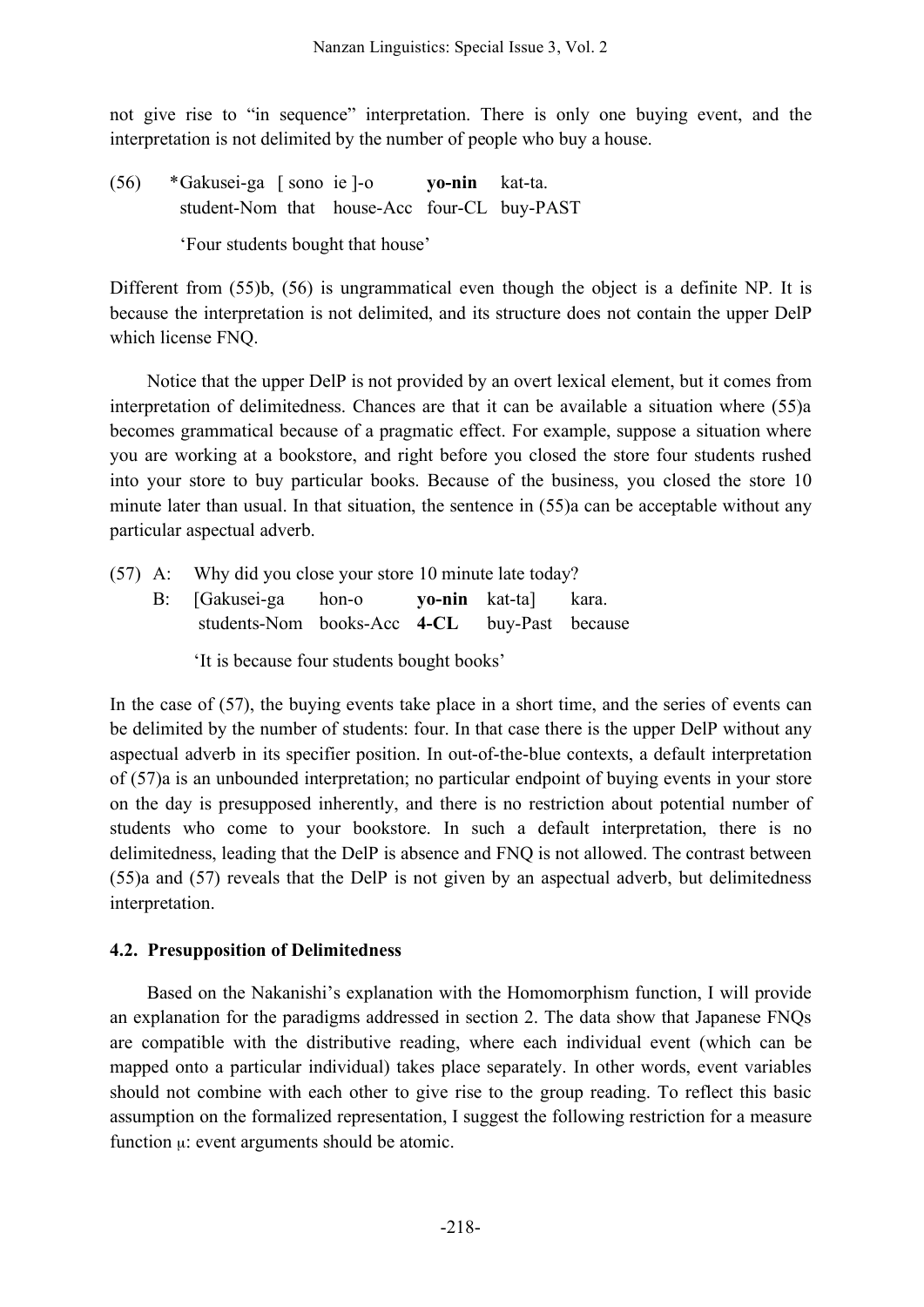not give rise to "in sequence" interpretation. There is only one buying event, and the interpretation is not delimited by the number of people who buy a house.

(56) \*Gakusei-ga [ sono ie ]-o **yo-nin** kat-ta. student-Nom that house-Acc four-CL buy-PAST

'Four students bought that house'

Different from (55)b, (56) is ungrammatical even though the object is a definite NP. It is because the interpretation is not delimited, and its structure does not contain the upper DelP which license FNQ.

Notice that the upper DelP is not provided by an overt lexical element, but it comes from interpretation of delimitedness. Chances are that it can be available a situation where (55)a becomes grammatical because of a pragmatic effect. For example, suppose a situation where you are working at a bookstore, and right before you closed the store four students rushed into your store to buy particular books. Because of the business, you closed the store 10 minute later than usual. In that situation, the sentence in (55)a can be acceptable without any particular aspectual adverb.

|  |                                            | $(57)$ A: Why did you close your store 10 minute late today? |  |  |  |  |
|--|--------------------------------------------|--------------------------------------------------------------|--|--|--|--|
|  |                                            | B: [Gakusei-ga hon-o yo-nin kat-ta] kara.                    |  |  |  |  |
|  |                                            | students-Nom books-Acc 4-CL buy-Past because                 |  |  |  |  |
|  | 'It is because four students bought books' |                                                              |  |  |  |  |

In the case of (57), the buying events take place in a short time, and the series of events can be delimited by the number of students: four. In that case there is the upper DelP without any aspectual adverb in its specifier position. In out-of-the-blue contexts, a default interpretation of (57)a is an unbounded interpretation; no particular endpoint of buying events in your store on the day is presupposed inherently, and there is no restriction about potential number of students who come to your bookstore. In such a default interpretation, there is no delimitedness, leading that the DelP is absence and FNQ is not allowed. The contrast between (55)a and (57) reveals that the DelP is not given by an aspectual adverb, but delimitedness interpretation.

# **4.2. Presupposition of Delimitedness**

Based on the Nakanishi's explanation with the Homomorphism function, I will provide an explanation for the paradigms addressed in section 2. The data show that Japanese FNQs are compatible with the distributive reading, where each individual event (which can be mapped onto a particular individual) takes place separately. In other words, event variables should not combine with each other to give rise to the group reading. To reflect this basic assumption on the formalized representation, I suggest the following restriction for a measure function  $\mu$ : event arguments should be atomic.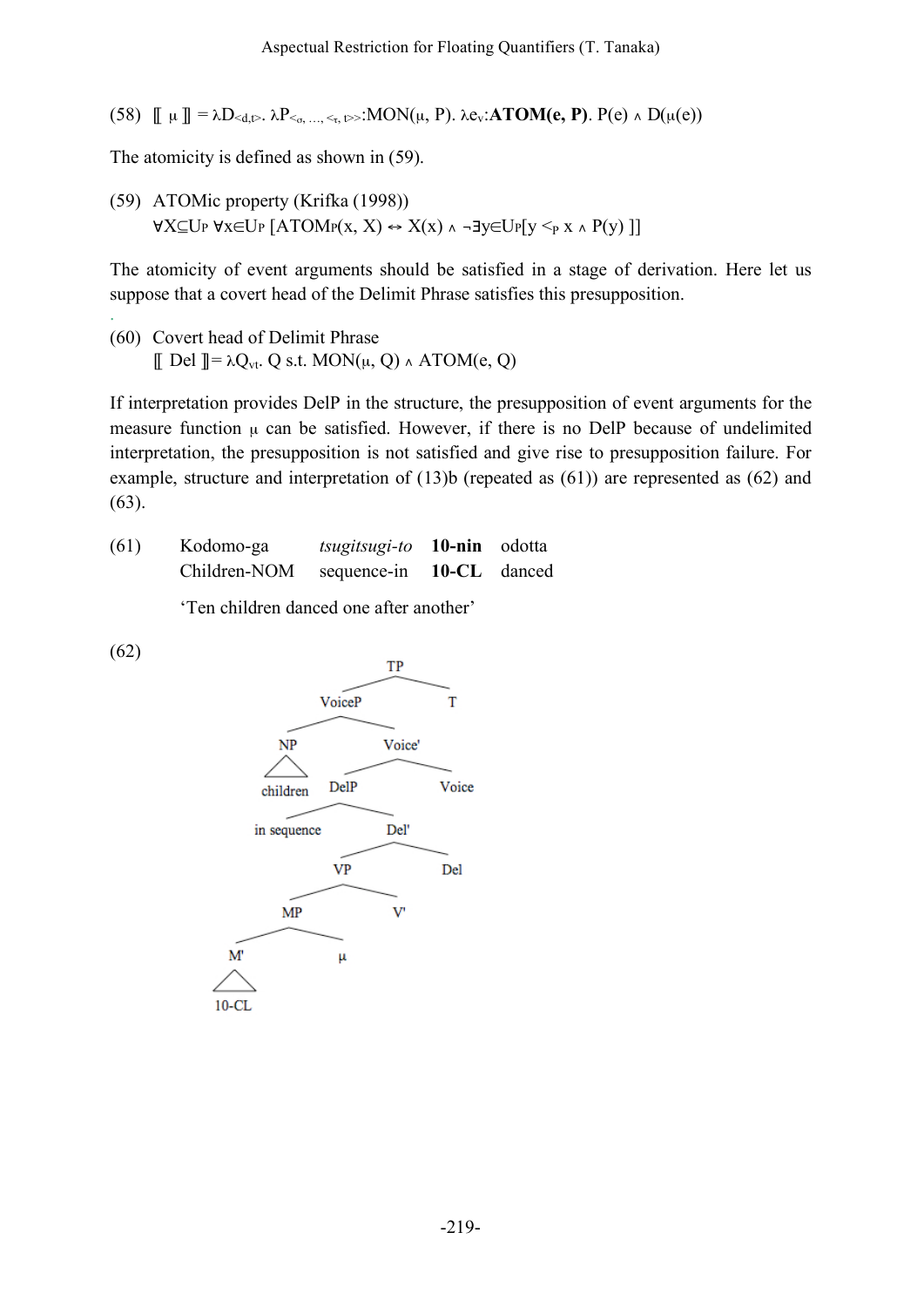(58)  $\[\]$   $\[\]$  =  $\lambda D_{\le d, \triangleright}$ .  $\lambda P_{\le a_{1}, \ldots \le b_{n}}$ : MON( $\mu$ , P).  $\lambda e_{\nu}$ : **ATOM(e, P)**. P(e)  $\wedge$  D( $\mu$ (e))

The atomicity is defined as shown in (59).

(59) ATOMic property (Krifka (1998))  $\forall X \subseteq U_P \forall x \in U_P \land TOMP(x, X) \leftrightarrow X(x) \land \neg \exists y \in U_P[y \leq_P x \land P(y)]]$ 

The atomicity of event arguments should be satisfied in a stage of derivation. Here let us suppose that a covert head of the Delimit Phrase satisfies this presupposition.

. (60) Covert head of Delimit Phrase  $\llbracket$  Del  $\rrbracket = \lambda Q_{vt}$ . Q s.t. MON( $\mu$ , Q)  $\land$  ATOM( $e$ , Q)

If interpretation provides DelP in the structure, the presupposition of event arguments for the measure function  $\mu$  can be satisfied. However, if there is no DelP because of undelimited interpretation, the presupposition is not satisfied and give rise to presupposition failure. For example, structure and interpretation of (13)b (repeated as (61)) are represented as (62) and (63).

| (61) | Kodomo-ga    | <i>tsugitsugi-to</i> <b>10-nin</b> odotta |  |
|------|--------------|-------------------------------------------|--|
|      | Children-NOM | sequence-in 10-CL danced                  |  |

'Ten children danced one after another'

(62)

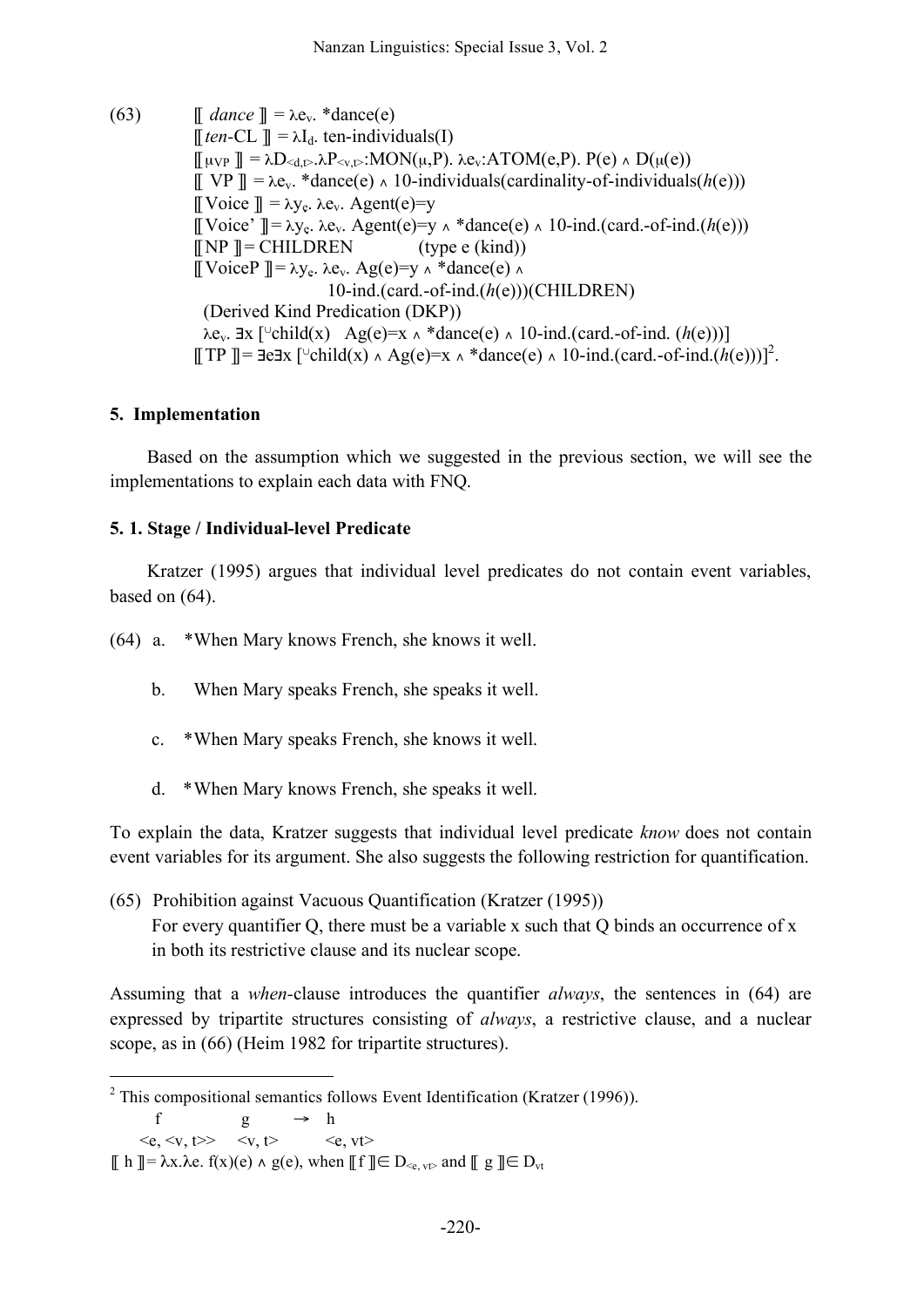(63)  $\mathbb{I}$  *dance*  $\mathbb{I} = \lambda e_v$ . \*dance(e)  $[$ [*ten*-CL ]] =  $\lambda$ I<sub>d</sub>. ten-individuals(I)  $\llbracket \mu_{VP} \rrbracket = \lambda D_{\le d, t} \cdot \lambda P_{\le v, t}$ : MON $(\mu, P)$ .  $\lambda e_v$ : ATOM $(e, P)$ .  $P(e) \wedge D(\mu(e))$  $[[ \nabla P] ] = \lambda e_v$ . \*dance(e)  $\wedge$  10-individuals(cardinality-of-individuals(*h*(e)))  $\mathbb{I}[\text{Voice } \mathbb{I}] = \lambda y_e$ .  $\lambda e_y$ . Agent(e)=y [[Voice' ]]= λye. λev. Agent(e)=y ∧ \*dance(e) ∧ 10-ind.(card.-of-ind.(*h*(e)))  $\llbracket NP \rrbracket = \text{CHILDREN}$  (type e (kind))  $[[\text{VoiceP }] = \lambda y_e \lambda e_y \lambda q(e) = y \lambda * \text{dance}(e) \lambda$ 10-ind.(card.-of-ind.(*h*(e)))(CHILDREN) (Derived Kind Predication (DKP))  $\lambda$ e<sub>v</sub>.  $\exists$ x [<sup>∪</sup>child(x) Ag(e)=x  $\land$  \*dance(e)  $\land$  10-ind.(card.-of-ind. (*h*(e)))] [[TP ] =  $\exists$ e $\exists$ x [<sup>∪</sup>child(x) ^ Ag(e)=x ^ \*dance(e) ^ 10-ind.(card.-of-ind.(*h*(e)))]<sup>2</sup>.

## **5. Implementation**

Based on the assumption which we suggested in the previous section, we will see the implementations to explain each data with FNQ.

### **5. 1. Stage / Individual-level Predicate**

Kratzer (1995) argues that individual level predicates do not contain event variables, based on (64).

(64) a. \*When Mary knows French, she knows it well.

- b. When Mary speaks French, she speaks it well.
- c. \*When Mary speaks French, she knows it well.
- d. \*When Mary knows French, she speaks it well.

To explain the data, Kratzer suggests that individual level predicate *know* does not contain event variables for its argument. She also suggests the following restriction for quantification.

(65) Prohibition against Vacuous Quantification (Kratzer (1995)) For every quantifier Q, there must be a variable x such that Q binds an occurrence of x in both its restrictive clause and its nuclear scope.

Assuming that a *when-*clause introduces the quantifier *always*, the sentences in (64) are expressed by tripartite structures consisting of *always*, a restrictive clause, and a nuclear scope, as in (66) (Heim 1982 for tripartite structures).

 $2$  This compositional semantics follows Event Identification (Kratzer (1996)).

f g  $\rightarrow$  h

 $\langle e, \langle v, t \rangle \rangle$   $\langle v, t \rangle$   $\langle e, vt \rangle$ 

 $\[\]$  h  $]\equiv \lambda x.\lambda e$ .  $f(x)(e) \wedge g(e)$ , when  $\[\]f\] \in D_{\leq e, v \uparrow}$  and  $\[\] g\] \in D_{vt}$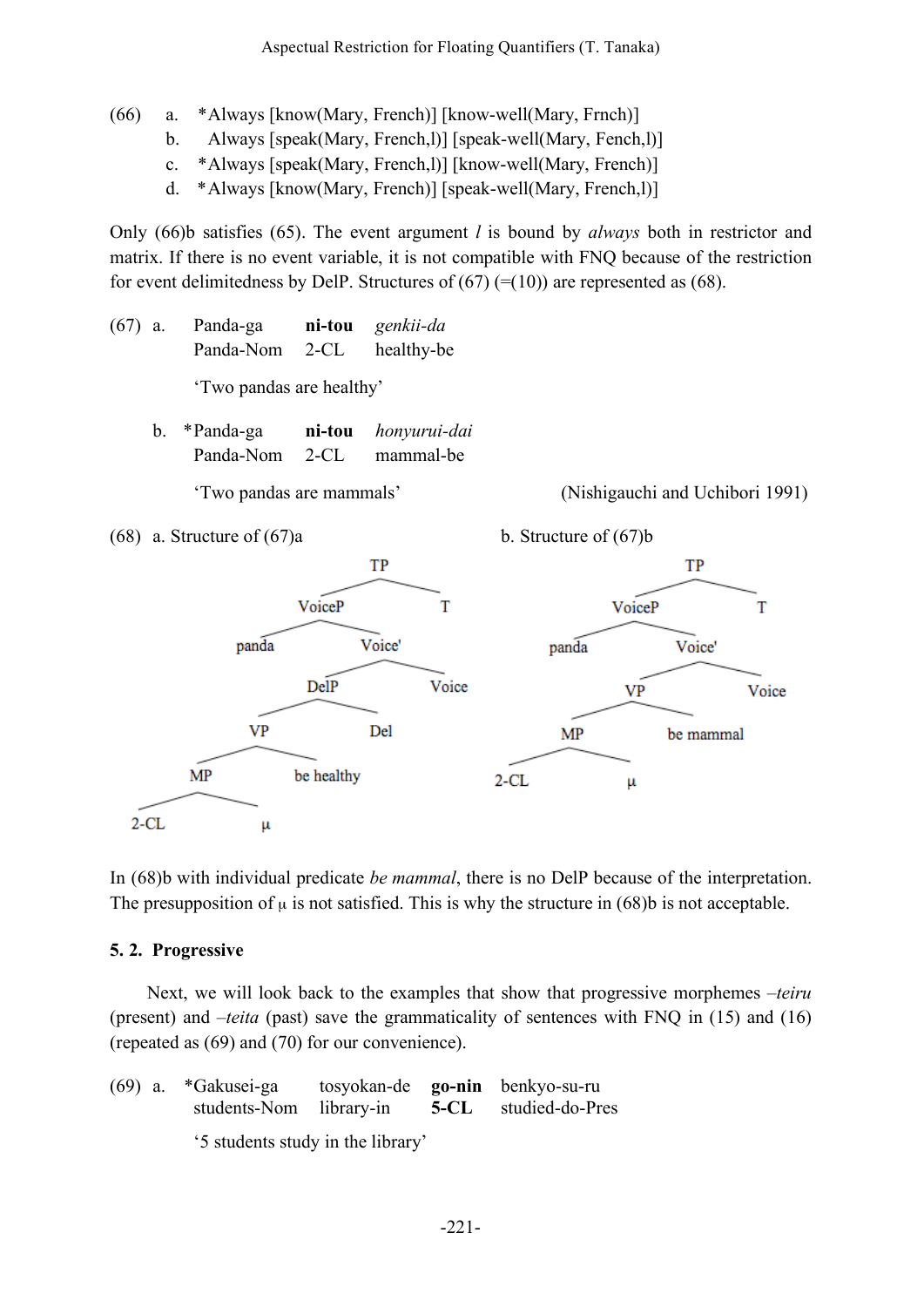- (66) a. \*Always [know(Mary, French)] [know-well(Mary, Frnch)]
	- b. Always [speak(Mary, French, l)] [speak-well(Mary, Fench, l)]
	- c. \*Always [speak(Mary, French,l)] [know-well(Mary, French)]
	- d. \*Always [know(Mary, French)] [speak-well(Mary, French,l)]

Only (66)b satisfies (65). The event argument *l* is bound by *always* both in restrictor and matrix. If there is no event variable, it is not compatible with FNQ because of the restriction for event delimitedness by DelP. Structures of  $(67)$  (=(10)) are represented as (68).

- (67) a. Panda-ga **ni-tou** *genkii-da* Panda-Nom 2-CL healthy-be 'Two pandas are healthy'
	- b. \*Panda-ga **ni-tou** *honyurui-dai* Panda-Nom 2-CL mammal-be







In (68)b with individual predicate *be mammal*, there is no DelP because of the interpretation. The presupposition of  $\mu$  is not satisfied. This is why the structure in (68)b is not acceptable.

## **5. 2. Progressive**

Next, we will look back to the examples that show that progressive morphemes *–teiru* (present) and *–teita* (past) save the grammaticality of sentences with FNQ in (15) and (16) (repeated as (69) and (70) for our convenience).

|  | $(69)$ a. *Gakusei-ga<br>students-Nom library-in |  |  | tosyokan-de <b>go-nin</b> benkyo-su-ru<br><b>5-CL</b> studied-do-Pres |
|--|--------------------------------------------------|--|--|-----------------------------------------------------------------------|
|  | '5 students study in the library'                |  |  |                                                                       |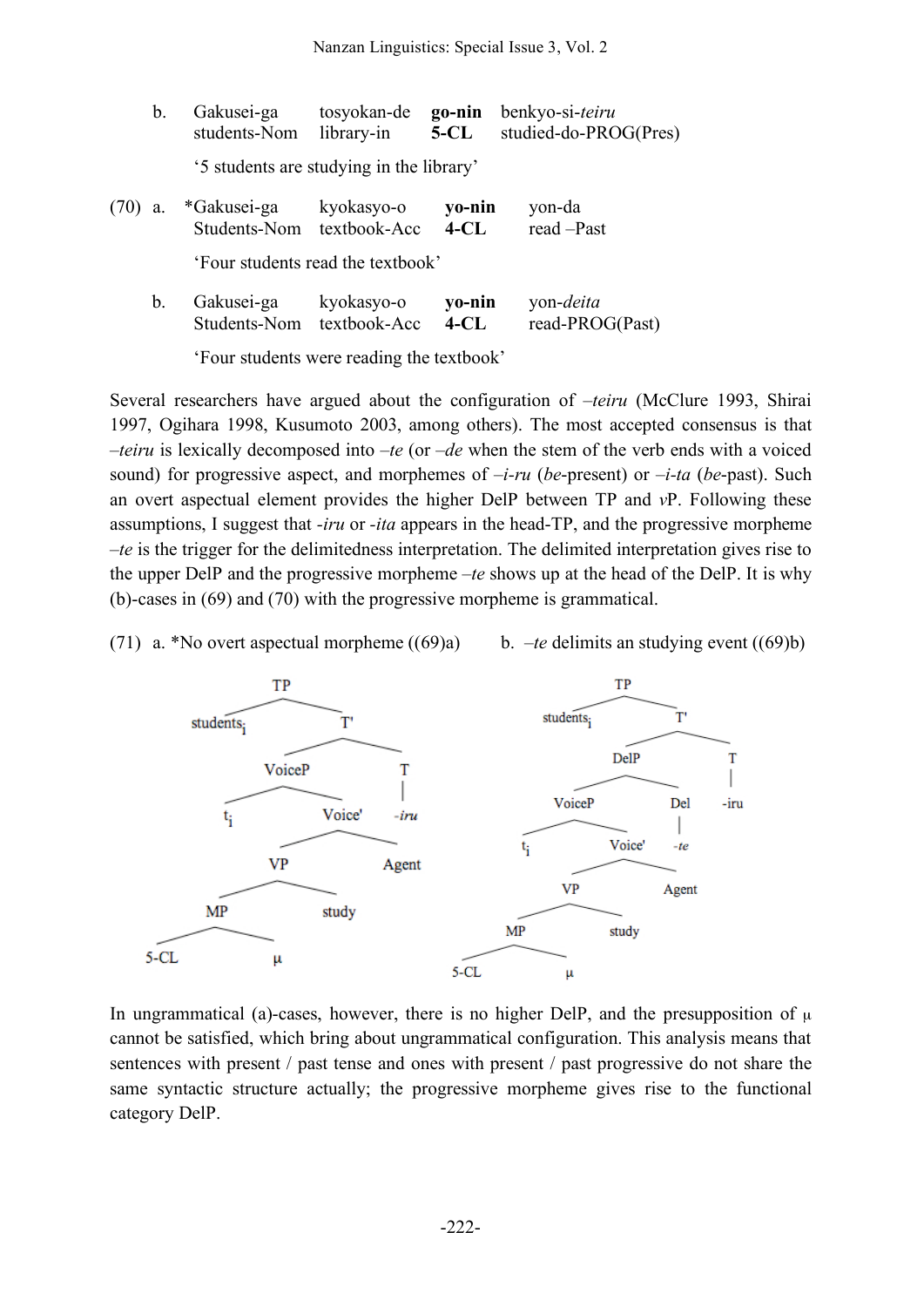|      | b. | Gakusei-ga<br>students-Nom               | tosyokan-de<br>library-in | go-nin<br>$5 - CL$ | benkyo-si-teiru<br>studied-do-PROG(Pres) |  |  |
|------|----|------------------------------------------|---------------------------|--------------------|------------------------------------------|--|--|
|      |    | '5 students are studying in the library' |                           |                    |                                          |  |  |
| (70) | a. | *Gakusei-ga<br>Students-Nom textbook-Acc | kyokasyo-o                | yo-nin<br>$4-CL$   | yon-da<br>read -Past                     |  |  |
|      |    | 'Four students read the textbook'        |                           |                    |                                          |  |  |
|      | b. | Gakusei-ga<br>Students-Nom textbook-Acc  | kyokasyo-o                | yo-nin<br>$4$ -CL  | yon- <i>deita</i><br>read-PROG(Past)     |  |  |

'Four students were reading the textbook'

Several researchers have argued about the configuration of *–teiru* (McClure 1993, Shirai 1997, Ogihara 1998, Kusumoto 2003, among others). The most accepted consensus is that *–teiru* is lexically decomposed into *–te* (or *–de* when the stem of the verb ends with a voiced sound) for progressive aspect, and morphemes of –*i-ru* (*be*-present) or –*i-ta* (*be*-past). Such an overt aspectual element provides the higher DelP between TP and *v*P. Following these assumptions, I suggest that *-iru* or *-ita* appears in the head-TP, and the progressive morpheme *–te* is the trigger for the delimitedness interpretation. The delimited interpretation gives rise to the upper DelP and the progressive morpheme –*te* shows up at the head of the DelP. It is why (b)-cases in (69) and (70) with the progressive morpheme is grammatical.

(71) a. \*No overt aspectual morpheme ((69)a) b. *–te* delimits an studying event ((69)b)



In ungrammatical (a)-cases, however, there is no higher DelP, and the presupposition of  $\mu$ cannot be satisfied, which bring about ungrammatical configuration. This analysis means that sentences with present / past tense and ones with present / past progressive do not share the same syntactic structure actually; the progressive morpheme gives rise to the functional category DelP.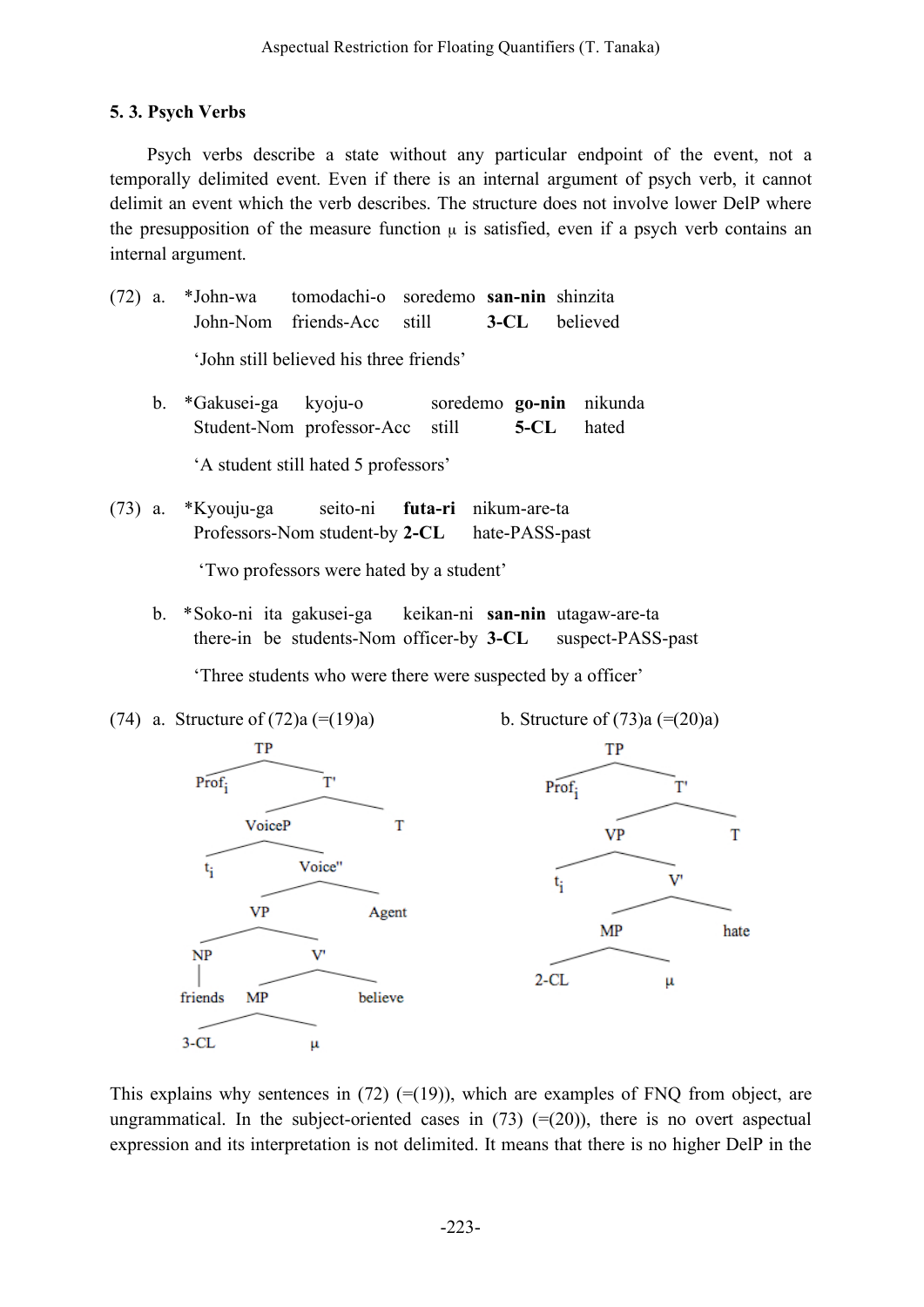## **5. 3. Psych Verbs**

Psych verbs describe a state without any particular endpoint of the event, not a temporally delimited event. Even if there is an internal argument of psych verb, it cannot delimit an event which the verb describes. The structure does not involve lower DelP where the presupposition of the measure function  $\mu$  is satisfied, even if a psych verb contains an internal argument.

- (72) a. \*John-wa tomodachi-o soredemo **san-nin** shinzita John-Nom friends-Acc still **3-CL** believed 'John still believed his three friends'
	- b. \*Gakusei-ga kyoju-o soredemo **go-nin** nikunda Student-Nom professor-Acc still **5-CL** hated 'A student still hated 5 professors'
- (73) a. \*Kyouju-ga seito-ni **futa-ri** nikum-are-ta Professors-Nom student-by **2-CL** hate-PASS-past

'Two professors were hated by a student'

b. \*Soko-ni ita gakusei-ga keikan-ni **san-nin** utagaw-are-ta there-in be students-Nom officer-by **3-CL** suspect-PASS-past

'Three students who were there were suspected by a officer'



This explains why sentences in  $(72)$  (=(19)), which are examples of FNQ from object, are ungrammatical. In the subject-oriented cases in  $(73)$  (=(20)), there is no overt aspectual expression and its interpretation is not delimited. It means that there is no higher DelP in the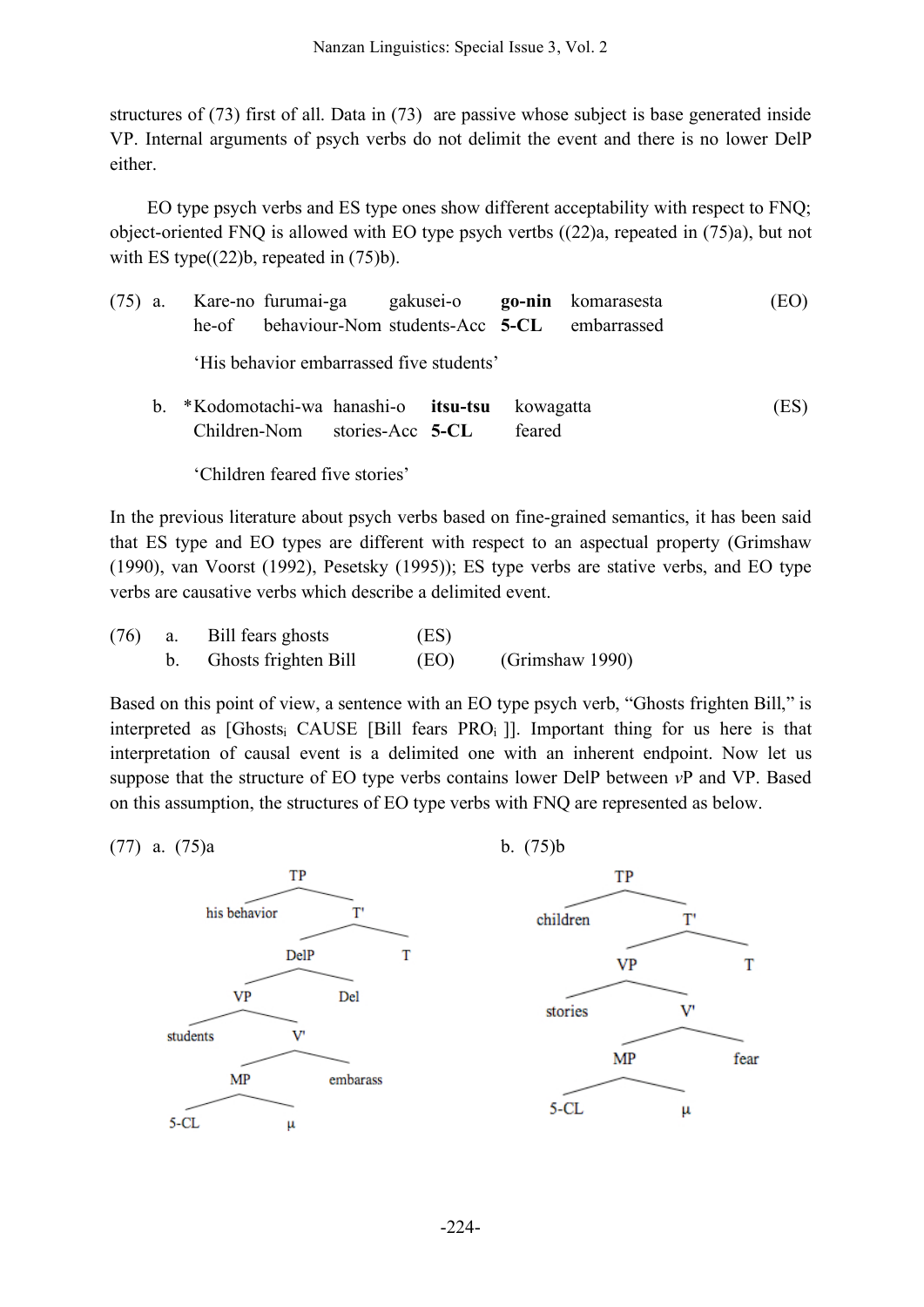structures of (73) first of all. Data in (73) are passive whose subject is base generated inside VP. Internal arguments of psych verbs do not delimit the event and there is no lower DelP either.

EO type psych verbs and ES type ones show different acceptability with respect to FNQ; object-oriented FNQ is allowed with EO type psych vertbs ((22)a, repeated in (75)a), but not with ES type $((22)b,$  repeated in  $(75)b$ .

|  |                                          | (75) a. Kare-no furumai-ga gakusei-o <b>go-nin</b> komarasesta<br>he-of behaviour-Nom students-Acc 5-CL embarrassed |  |  |  |  | (EO) |
|--|------------------------------------------|---------------------------------------------------------------------------------------------------------------------|--|--|--|--|------|
|  | 'His behavior embarrassed five students' |                                                                                                                     |  |  |  |  |      |
|  |                                          | k *Vodemeteek we housekie *ten ten beweestte                                                                        |  |  |  |  |      |

b. \*Kodomotachi-wa hanashi-o **itsu-tsu** kowagatta (ES) Children-Nom stories-Acc **5-CL** feared

'Children feared five stories'

In the previous literature about psych verbs based on fine-grained semantics, it has been said that ES type and EO types are different with respect to an aspectual property (Grimshaw (1990), van Voorst (1992), Pesetsky (1995)); ES type verbs are stative verbs, and EO type verbs are causative verbs which describe a delimited event.

| (76) | а. | Bill fears ghosts    | (ES) |                 |  |
|------|----|----------------------|------|-----------------|--|
|      |    | Ghosts frighten Bill | (EO) | (Grimshaw 1990) |  |

Based on this point of view, a sentence with an EO type psych verb, "Ghosts frighten Bill," is interpreted as  $[Ghosts<sub>i</sub> CAUSE [Bill fears PRO<sub>i</sub> ]]$ . Important thing for us here is that interpretation of causal event is a delimited one with an inherent endpoint. Now let us suppose that the structure of EO type verbs contains lower DelP between *v*P and VP. Based on this assumption, the structures of EO type verbs with FNQ are represented as below.

(77) a.  $(75)a$  b.  $(75)b$ 



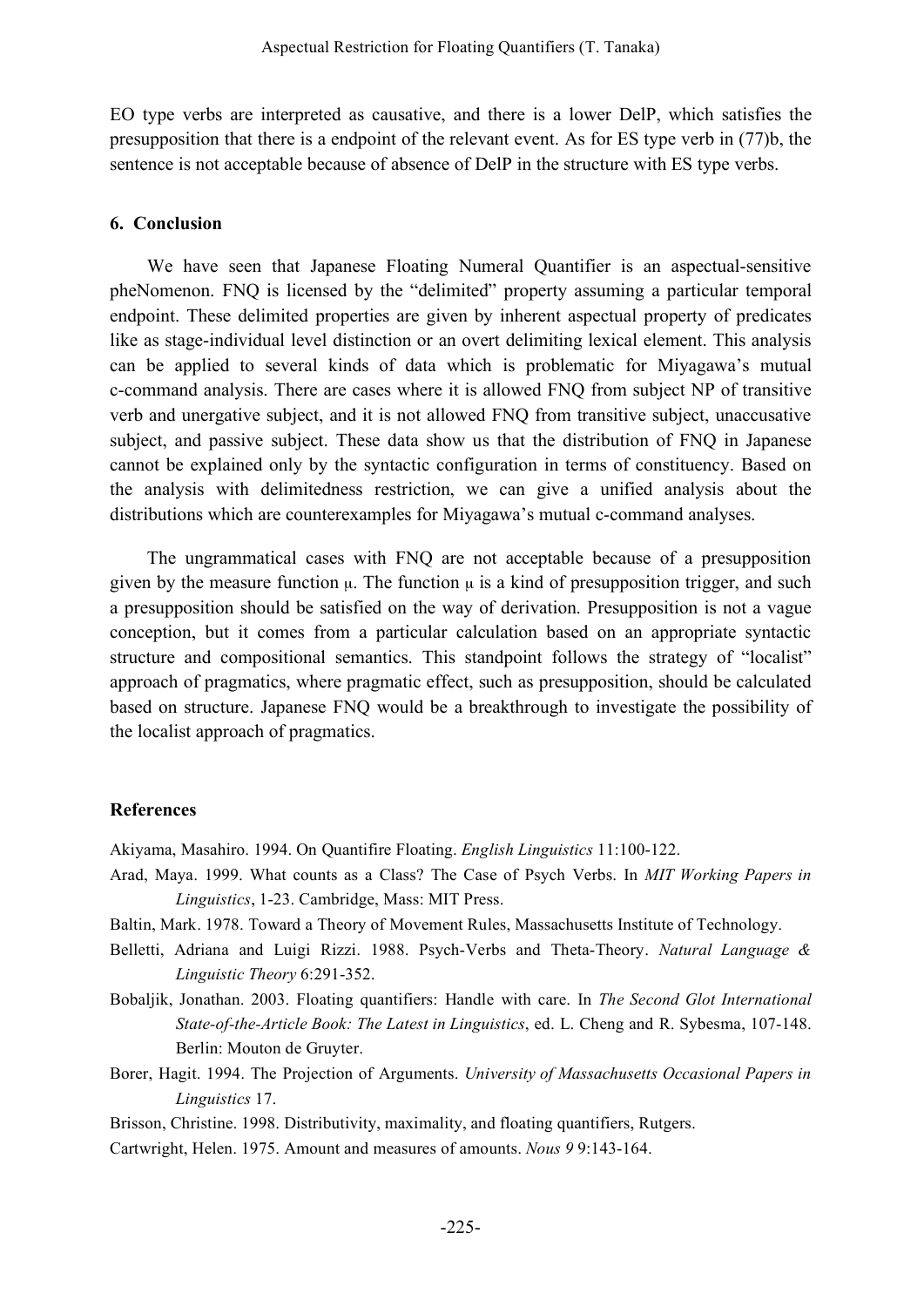EO type verbs are interpreted as causative, and there is a lower DelP, which satisfies the presupposition that there is a endpoint of the relevant event. As for ES type verb in (77)b, the sentence is not acceptable because of absence of DelP in the structure with ES type verbs.

### **6. Conclusion**

We have seen that Japanese Floating Numeral Quantifier is an aspectual-sensitive pheNomenon. FNQ is licensed by the "delimited" property assuming a particular temporal endpoint. These delimited properties are given by inherent aspectual property of predicates like as stage-individual level distinction or an overt delimiting lexical element. This analysis can be applied to several kinds of data which is problematic for Miyagawa's mutual c-command analysis. There are cases where it is allowed FNQ from subject NP of transitive verb and unergative subject, and it is not allowed FNQ from transitive subject, unaccusative subject, and passive subject. These data show us that the distribution of FNQ in Japanese cannot be explained only by the syntactic configuration in terms of constituency. Based on the analysis with delimitedness restriction, we can give a unified analysis about the distributions which are counterexamples for Miyagawa's mutual c-command analyses.

The ungrammatical cases with FNQ are not acceptable because of a presupposition given by the measure function  $\mu$ . The function  $\mu$  is a kind of presupposition trigger, and such a presupposition should be satisfied on the way of derivation. Presupposition is not a vague conception, but it comes from a particular calculation based on an appropriate syntactic structure and compositional semantics. This standpoint follows the strategy of "localist" approach of pragmatics, where pragmatic effect, such as presupposition, should be calculated based on structure. Japanese FNQ would be a breakthrough to investigate the possibility of the localist approach of pragmatics.

### **References**

Akiyama, Masahiro. 1994. On Quantifire Floating. *English Linguistics* 11:100-122.

- Arad, Maya. 1999. What counts as a Class? The Case of Psych Verbs. In *MIT Working Papers in Linguistics*, 1-23. Cambridge, Mass: MIT Press.
- Baltin, Mark. 1978. Toward a Theory of Movement Rules, Massachusetts Institute of Technology.
- Belletti, Adriana and Luigi Rizzi. 1988. Psych-Verbs and Theta-Theory. *Natural Language & Linguistic Theory* 6:291-352.
- Bobaljik, Jonathan. 2003. Floating quantifiers: Handle with care. In *The Second Glot International State-of-the-Article Book: The Latest in Linguistics*, ed. L. Cheng and R. Sybesma, 107-148. Berlin: Mouton de Gruyter.
- Borer, Hagit. 1994. The Projection of Arguments. *University of Massachusetts Occasional Papers in Linguistics* 17.
- Brisson, Christine. 1998. Distributivity, maximality, and floating quantifiers, Rutgers.
- Cartwright, Helen. 1975. Amount and measures of amounts. *Nous 9* 9:143-164.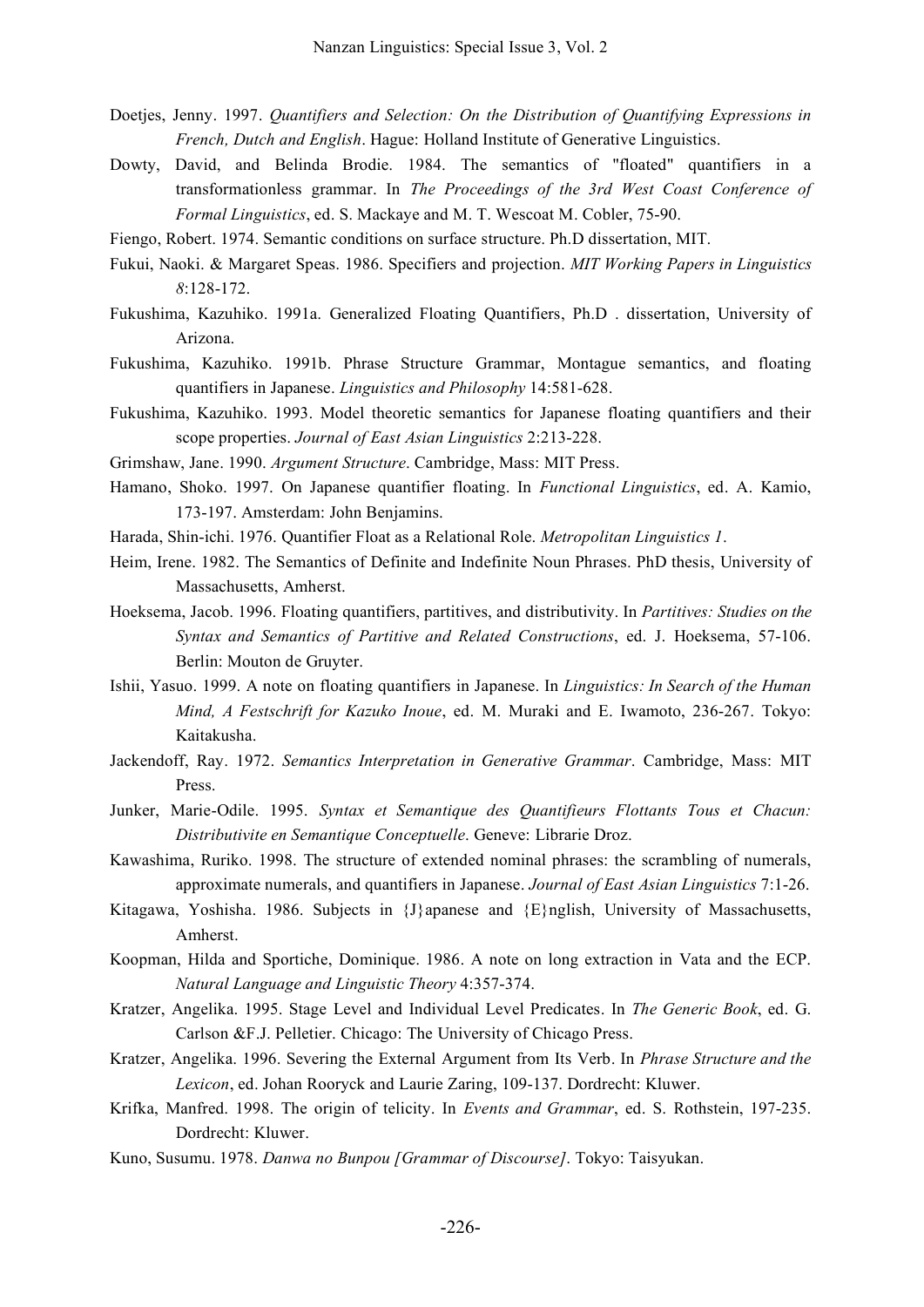- Doetjes, Jenny. 1997. *Quantifiers and Selection: On the Distribution of Quantifying Expressions in French, Dutch and English*. Hague: Holland Institute of Generative Linguistics.
- Dowty, David, and Belinda Brodie. 1984. The semantics of "floated" quantifiers in a transformationless grammar. In *The Proceedings of the 3rd West Coast Conference of Formal Linguistics*, ed. S. Mackaye and M. T. Wescoat M. Cobler, 75-90.
- Fiengo, Robert. 1974. Semantic conditions on surface structure. Ph.D dissertation, MIT.
- Fukui, Naoki. & Margaret Speas. 1986. Specifiers and projection. *MIT Working Papers in Linguistics 8*:128-172.
- Fukushima, Kazuhiko. 1991a. Generalized Floating Quantifiers, Ph.D . dissertation, University of Arizona.
- Fukushima, Kazuhiko. 1991b. Phrase Structure Grammar, Montague semantics, and floating quantifiers in Japanese. *Linguistics and Philosophy* 14:581-628.
- Fukushima, Kazuhiko. 1993. Model theoretic semantics for Japanese floating quantifiers and their scope properties. *Journal of East Asian Linguistics* 2:213-228.
- Grimshaw, Jane. 1990. *Argument Structure*. Cambridge, Mass: MIT Press.
- Hamano, Shoko. 1997. On Japanese quantifier floating. In *Functional Linguistics*, ed. A. Kamio, 173-197. Amsterdam: John Benjamins.
- Harada, Shin-ichi. 1976. Quantifier Float as a Relational Role. *Metropolitan Linguistics 1*.
- Heim, Irene. 1982. The Semantics of Definite and Indefinite Noun Phrases. PhD thesis, University of Massachusetts, Amherst.
- Hoeksema, Jacob. 1996. Floating quantifiers, partitives, and distributivity. In *Partitives: Studies on the Syntax and Semantics of Partitive and Related Constructions*, ed. J. Hoeksema, 57-106. Berlin: Mouton de Gruyter.
- Ishii, Yasuo. 1999. A note on floating quantifiers in Japanese. In *Linguistics: In Search of the Human Mind, A Festschrift for Kazuko Inoue*, ed. M. Muraki and E. Iwamoto, 236-267. Tokyo: Kaitakusha.
- Jackendoff, Ray. 1972. *Semantics Interpretation in Generative Grammar*. Cambridge, Mass: MIT Press.
- Junker, Marie-Odile. 1995. *Syntax et Semantique des Quantifieurs Flottants Tous et Chacun: Distributivite en Semantique Conceptuelle*. Geneve: Librarie Droz.
- Kawashima, Ruriko. 1998. The structure of extended nominal phrases: the scrambling of numerals, approximate numerals, and quantifiers in Japanese. *Journal of East Asian Linguistics* 7:1-26.
- Kitagawa, Yoshisha. 1986. Subjects in {J}apanese and {E}nglish, University of Massachusetts, Amherst.
- Koopman, Hilda and Sportiche, Dominique. 1986. A note on long extraction in Vata and the ECP. *Natural Language and Linguistic Theory* 4:357-374.
- Kratzer, Angelika. 1995. Stage Level and Individual Level Predicates. In *The Generic Book*, ed. G. Carlson &F.J. Pelletier. Chicago: The University of Chicago Press.
- Kratzer, Angelika. 1996. Severing the External Argument from Its Verb. In *Phrase Structure and the Lexicon*, ed. Johan Rooryck and Laurie Zaring, 109-137. Dordrecht: Kluwer.
- Krifka, Manfred. 1998. The origin of telicity. In *Events and Grammar*, ed. S. Rothstein, 197-235. Dordrecht: Kluwer.
- Kuno, Susumu. 1978. *Danwa no Bunpou [Grammar of Discourse]*. Tokyo: Taisyukan.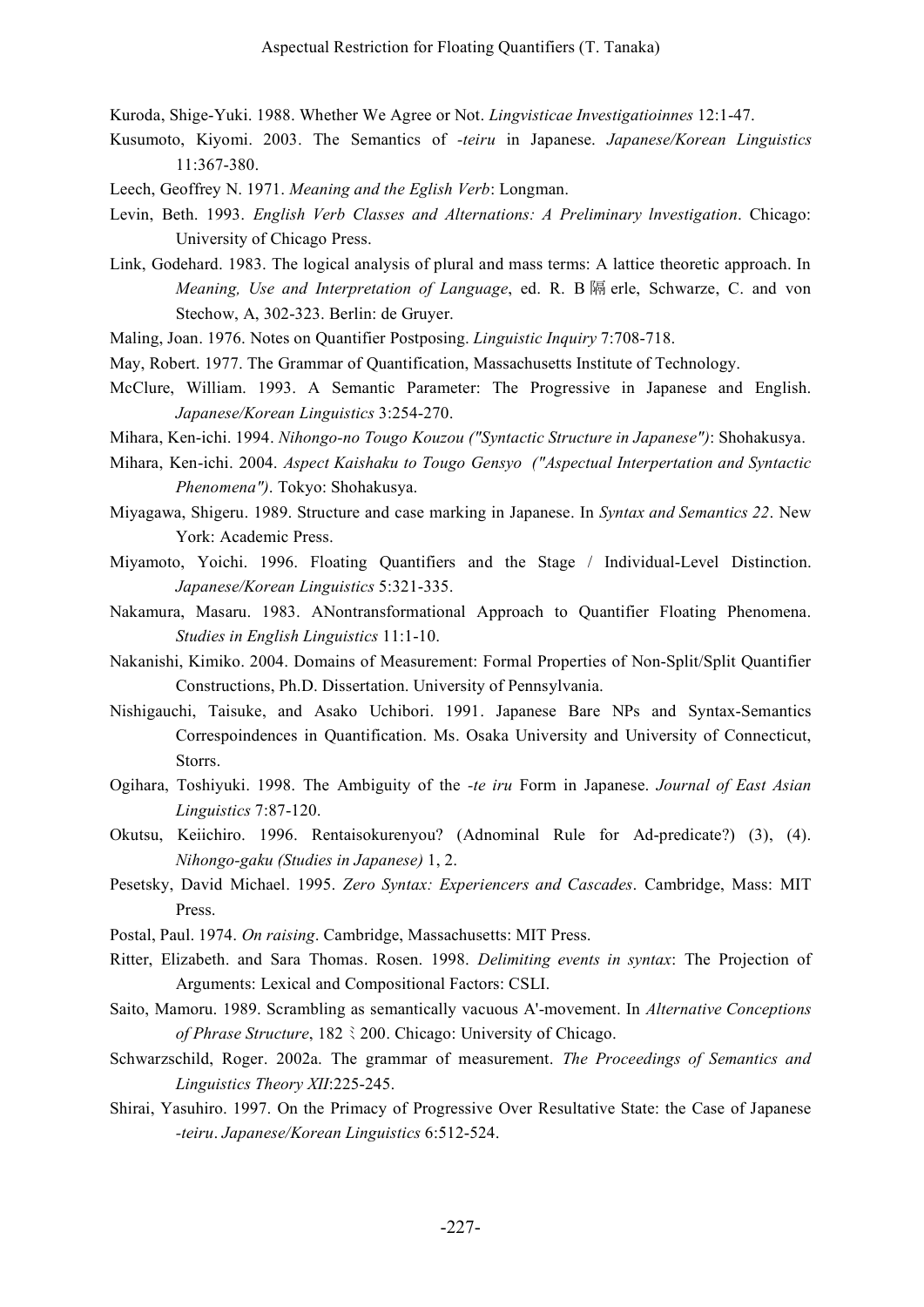Kuroda, Shige-Yuki. 1988. Whether We Agree or Not. *Lingvisticae Investigatioinnes* 12:1-47.

- Kusumoto, Kiyomi. 2003. The Semantics of *-teiru* in Japanese. *Japanese/Korean Linguistics* 11:367-380.
- Leech, Geoffrey N. 1971. *Meaning and the Eglish Verb*: Longman.
- Levin, Beth. 1993. *English Verb Classes and Alternations: A Preliminary lnvestigation*. Chicago: University of Chicago Press.
- Link, Godehard. 1983. The logical analysis of plural and mass terms: A lattice theoretic approach. In *Meaning, Use and Interpretation of Language*, ed. R. B 隔 erle, Schwarze, C. and von Stechow, A, 302-323. Berlin: de Gruyer.
- Maling, Joan. 1976. Notes on Quantifier Postposing. *Linguistic Inquiry* 7:708-718.
- May, Robert. 1977. The Grammar of Quantification, Massachusetts Institute of Technology.
- McClure, William. 1993. A Semantic Parameter: The Progressive in Japanese and English. *Japanese/Korean Linguistics* 3:254-270.
- Mihara, Ken-ichi. 1994. *Nihongo-no Tougo Kouzou ("Syntactic Structure in Japanese")*: Shohakusya.
- Mihara, Ken-ichi. 2004. *Aspect Kaishaku to Tougo Gensyo ("Aspectual Interpertation and Syntactic Phenomena")*. Tokyo: Shohakusya.
- Miyagawa, Shigeru. 1989. Structure and case marking in Japanese. In *Syntax and Semantics 22*. New York: Academic Press.
- Miyamoto, Yoichi. 1996. Floating Quantifiers and the Stage / Individual-Level Distinction. *Japanese/Korean Linguistics* 5:321-335.
- Nakamura, Masaru. 1983. ANontransformational Approach to Quantifier Floating Phenomena. *Studies in English Linguistics* 11:1-10.
- Nakanishi, Kimiko. 2004. Domains of Measurement: Formal Properties of Non-Split/Split Quantifier Constructions, Ph.D. Dissertation. University of Pennsylvania.
- Nishigauchi, Taisuke, and Asako Uchibori. 1991. Japanese Bare NPs and Syntax-Semantics Correspoindences in Quantification. Ms. Osaka University and University of Connecticut, Storrs.
- Ogihara, Toshiyuki. 1998. The Ambiguity of the *-te iru* Form in Japanese. *Journal of East Asian Linguistics* 7:87-120.
- Okutsu, Keiichiro. 1996. Rentaisokurenyou? (Adnominal Rule for Ad-predicate?) (3), (4). *Nihongo-gaku (Studies in Japanese)* 1, 2.
- Pesetsky, David Michael. 1995. *Zero Syntax: Experiencers and Cascades*. Cambridge, Mass: MIT Press.
- Postal, Paul. 1974. *On raising*. Cambridge, Massachusetts: MIT Press.
- Ritter, Elizabeth. and Sara Thomas. Rosen. 1998. *Delimiting events in syntax*: The Projection of Arguments: Lexical and Compositional Factors: CSLI.
- Saito, Mamoru. 1989. Scrambling as semantically vacuous A'-movement. In *Alternative Conceptions of Phrase Structure*, 182 ミ 200. Chicago: University of Chicago.
- Schwarzschild, Roger. 2002a. The grammar of measurement. *The Proceedings of Semantics and Linguistics Theory XII*:225-245.
- Shirai, Yasuhiro. 1997. On the Primacy of Progressive Over Resultative State: the Case of Japanese *-teiru*. *Japanese/Korean Linguistics* 6:512-524.